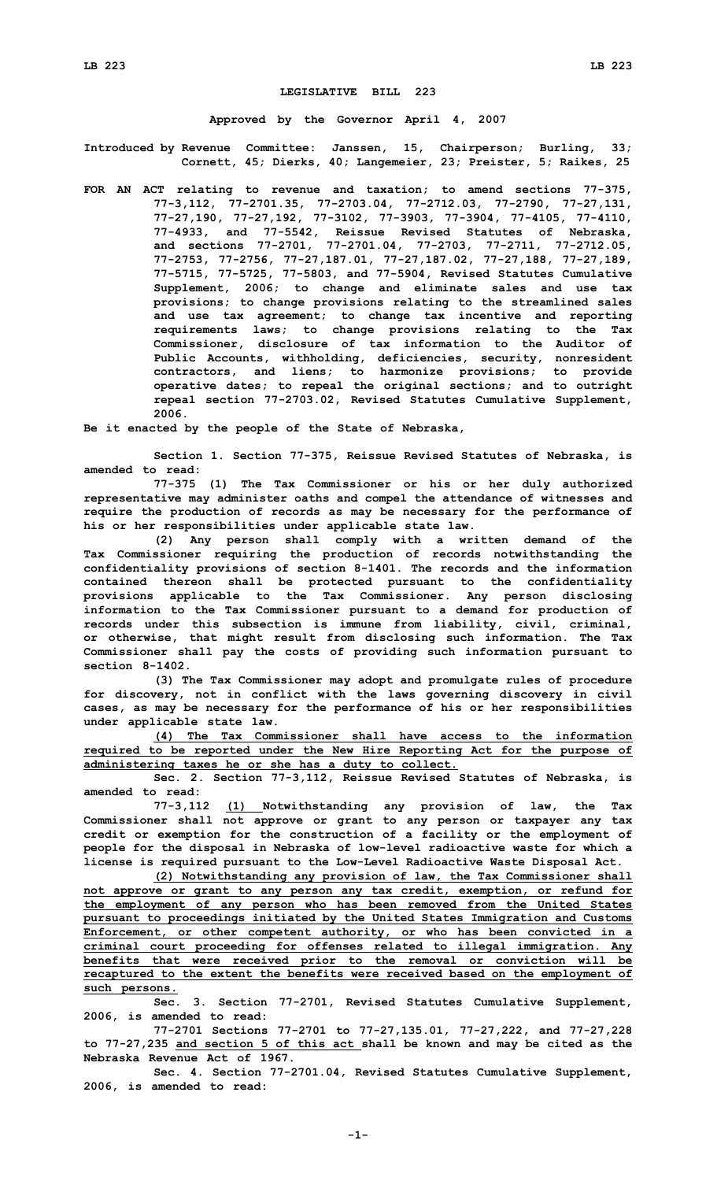# **LEGISLATIVE BILL 223**

# **Approved by the Governor April 4, 2007**

**Introduced by Revenue Committee: Janssen, 15, Chairperson; Burling, 33; Cornett, 45; Dierks, 40; Langemeier, 23; Preister, 5; Raikes, 25**

**FOR AN ACT relating to revenue and taxation; to amend sections 77-375, 77-3,112, 77-2701.35, 77-2703.04, 77-2712.03, 77-2790, 77-27,131, 77-27,190, 77-27,192, 77-3102, 77-3903, 77-3904, 77-4105, 77-4110, 77-4933, and 77-5542, Reissue Revised Statutes of Nebraska, and sections 77-2701, 77-2701.04, 77-2703, 77-2711, 77-2712.05, 77-2753, 77-2756, 77-27,187.01, 77-27,187.02, 77-27,188, 77-27,189, 77-5715, 77-5725, 77-5803, and 77-5904, Revised Statutes Cumulative Supplement, 2006; to change and eliminate sales and use tax provisions; to change provisions relating to the streamlined sales and use tax agreement; to change tax incentive and reporting requirements laws; to change provisions relating to the Tax Commissioner, disclosure of tax information to the Auditor of Public Accounts, withholding, deficiencies, security, nonresident contractors, and liens; to harmonize provisions; to provide operative dates; to repeal the original sections; and to outright repeal section 77-2703.02, Revised Statutes Cumulative Supplement, 2006.**

**Be it enacted by the people of the State of Nebraska,**

**Section 1. Section 77-375, Reissue Revised Statutes of Nebraska, is amended to read:**

**77-375 (1) The Tax Commissioner or his or her duly authorized representative may administer oaths and compel the attendance of witnesses and require the production of records as may be necessary for the performance of his or her responsibilities under applicable state law.**

**(2) Any person shall comply with <sup>a</sup> written demand of the Tax Commissioner requiring the production of records notwithstanding the confidentiality provisions of section 8-1401. The records and the information contained thereon shall be protected pursuant to the confidentiality provisions applicable to the Tax Commissioner. Any person disclosing information to the Tax Commissioner pursuant to <sup>a</sup> demand for production of records under this subsection is immune from liability, civil, criminal, or otherwise, that might result from disclosing such information. The Tax Commissioner shall pay the costs of providing such information pursuant to section 8-1402.**

**(3) The Tax Commissioner may adopt and promulgate rules of procedure for discovery, not in conflict with the laws governing discovery in civil cases, as may be necessary for the performance of his or her responsibilities under applicable state law.**

**(4) The Tax Commissioner shall have access to the information required to be reported under the New Hire Reporting Act for the purpose of administering taxes he or she has <sup>a</sup> duty to collect.**

**Sec. 2. Section 77-3,112, Reissue Revised Statutes of Nebraska, is amended to read:**

**77-3,112 (1) Notwithstanding any provision of law, the Tax Commissioner shall not approve or grant to any person or taxpayer any tax credit or exemption for the construction of <sup>a</sup> facility or the employment of people for the disposal in Nebraska of low-level radioactive waste for which <sup>a</sup> license is required pursuant to the Low-Level Radioactive Waste Disposal Act.**

**(2) Notwithstanding any provision of law, the Tax Commissioner shall not approve or grant to any person any tax credit, exemption, or refund for the employment of any person who has been removed from the United States pursuant to proceedings initiated by the United States Immigration and Customs Enforcement, or other competent authority, or who has been convicted in <sup>a</sup> criminal court proceeding for offenses related to illegal immigration. Any benefits that were received prior to the removal or conviction will be recaptured to the extent the benefits were received based on the employment of such persons.**

**Sec. 3. Section 77-2701, Revised Statutes Cumulative Supplement, 2006, is amended to read:**

**77-2701 Sections 77-2701 to 77-27,135.01, 77-27,222, and 77-27,228 to 77-27,235 and section 5 of this act shall be known and may be cited as the Nebraska Revenue Act of 1967.**

**Sec. 4. Section 77-2701.04, Revised Statutes Cumulative Supplement, 2006, is amended to read:**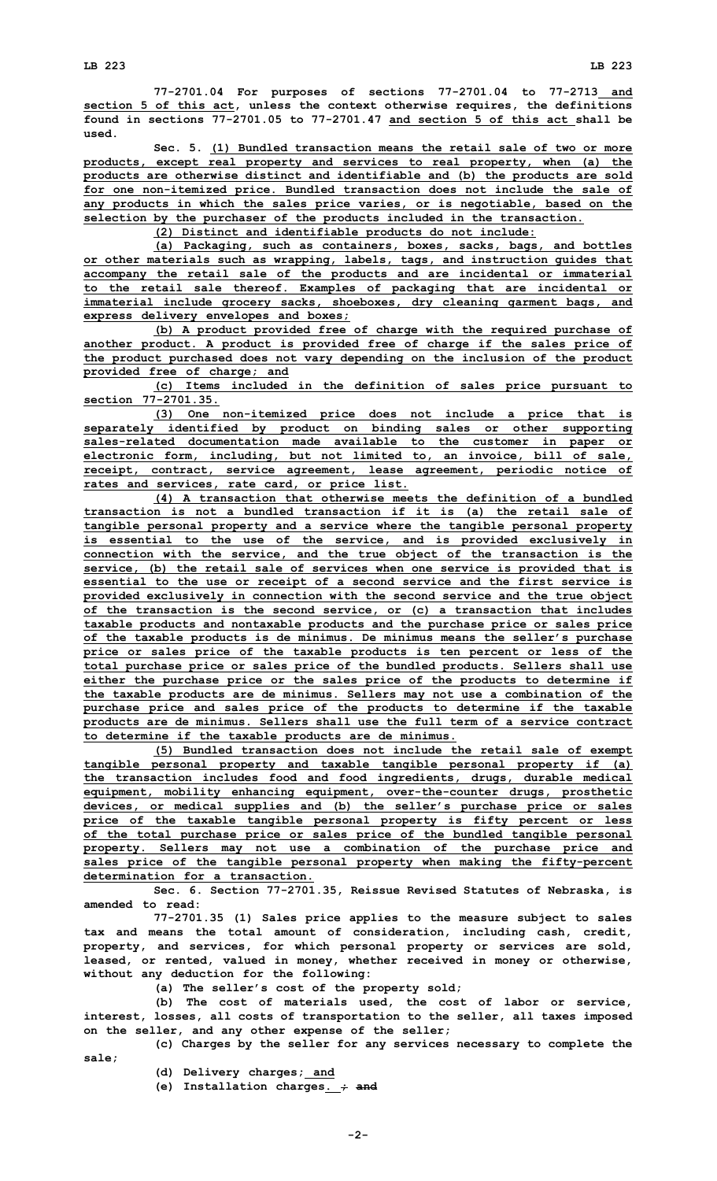**77-2701.04 For purposes of sections 77-2701.04 to 77-2713 and section 5 of this act, unless the context otherwise requires, the definitions found in sections 77-2701.05 to 77-2701.47 and section 5 of this act shall be used.**

**Sec. 5. (1) Bundled transaction means the retail sale of two or more products, except real property and services to real property, when (a) the products are otherwise distinct and identifiable and (b) the products are sold for one non-itemized price. Bundled transaction does not include the sale of any products in which the sales price varies, or is negotiable, based on the selection by the purchaser of the products included in the transaction.**

**(2) Distinct and identifiable products do not include:**

**(a) Packaging, such as containers, boxes, sacks, bags, and bottles or other materials such as wrapping, labels, tags, and instruction guides that accompany the retail sale of the products and are incidental or immaterial to the retail sale thereof. Examples of packaging that are incidental or immaterial include grocery sacks, shoeboxes, dry cleaning garment bags, and express delivery envelopes and boxes;**

**(b) <sup>A</sup> product provided free of charge with the required purchase of another product. A product is provided free of charge if the sales price of the product purchased does not vary depending on the inclusion of the product provided free of charge; and**

**(c) Items included in the definition of sales price pursuant to section 77-2701.35.**

**(3) One non-itemized price does not include <sup>a</sup> price that is separately identified by product on binding sales or other supporting sales-related documentation made available to the customer in paper or electronic form, including, but not limited to, an invoice, bill of sale, receipt, contract, service agreement, lease agreement, periodic notice of rates and services, rate card, or price list.**

**(4) A transaction that otherwise meets the definition of <sup>a</sup> bundled transaction is not <sup>a</sup> bundled transaction if it is (a) the retail sale of tangible personal property and <sup>a</sup> service where the tangible personal property is essential to the use of the service, and is provided exclusively in connection with the service, and the true object of the transaction is the service, (b) the retail sale of services when one service is provided that is essential to the use or receipt of <sup>a</sup> second service and the first service is provided exclusively in connection with the second service and the true object of the transaction is the second service, or (c) <sup>a</sup> transaction that includes taxable products and nontaxable products and the purchase price or sales price of the taxable products is de minimus. De minimus means the seller's purchase price or sales price of the taxable products is ten percent or less of the total purchase price or sales price of the bundled products. Sellers shall use either the purchase price or the sales price of the products to determine if the taxable products are de minimus. Sellers may not use <sup>a</sup> combination of the purchase price and sales price of the products to determine if the taxable products are de minimus. Sellers shall use the full term of <sup>a</sup> service contract to determine if the taxable products are de minimus.**

**(5) Bundled transaction does not include the retail sale of exempt tangible personal property and taxable tangible personal property if (a) the transaction includes food and food ingredients, drugs, durable medical equipment, mobility enhancing equipment, over-the-counter drugs, prosthetic devices, or medical supplies and (b) the seller's purchase price or sales price of the taxable tangible personal property is fifty percent or less of the total purchase price or sales price of the bundled tangible personal property. Sellers may not use <sup>a</sup> combination of the purchase price and sales price of the tangible personal property when making the fifty-percent determination for a transaction.**

**Sec. 6. Section 77-2701.35, Reissue Revised Statutes of Nebraska, is amended to read:**

**77-2701.35 (1) Sales price applies to the measure subject to sales tax and means the total amount of consideration, including cash, credit, property, and services, for which personal property or services are sold, leased, or rented, valued in money, whether received in money or otherwise, without any deduction for the following:**

**(a) The seller's cost of the property sold;**

**(b) The cost of materials used, the cost of labor or service, interest, losses, all costs of transportation to the seller, all taxes imposed on the seller, and any other expense of the seller;**

**(c) Charges by the seller for any services necessary to complete the**

**sale;**

**(d) Delivery charges; and**

**(e) Installation charges. ; and**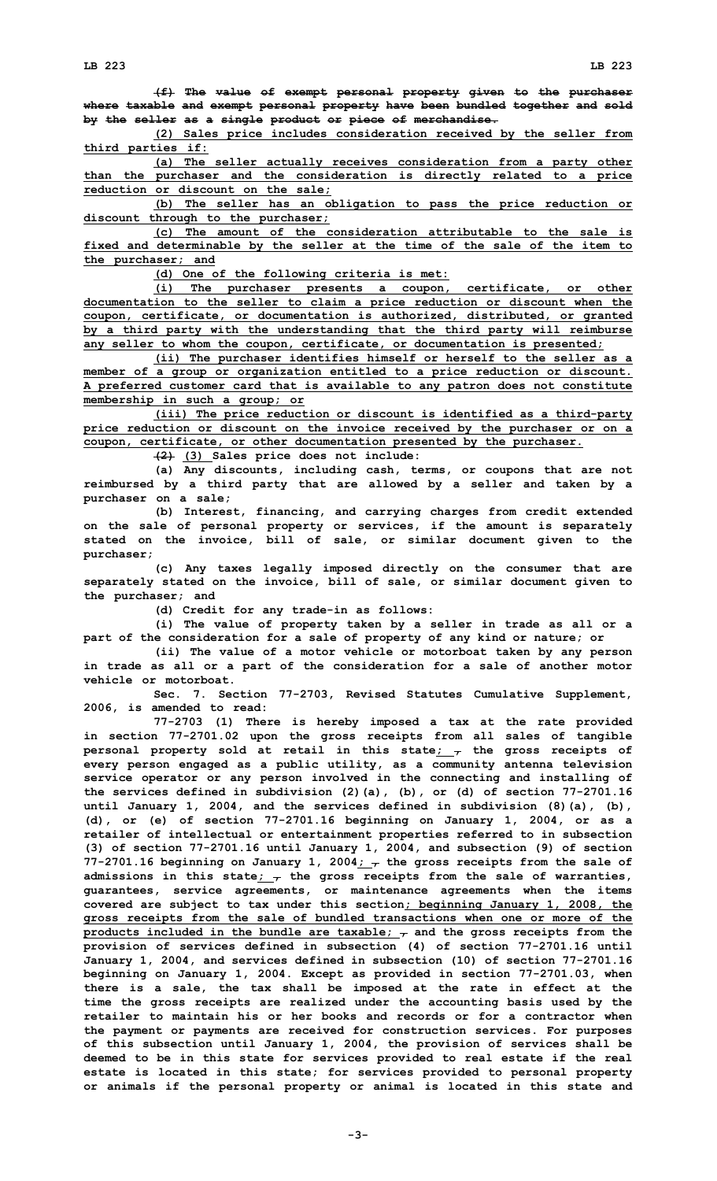**(f) The value of exempt personal property given to the purchaser where taxable and exempt personal property have been bundled together and sold by the seller as <sup>a</sup> single product or piece of merchandise.**

**(2) Sales price includes consideration received by the seller from third parties if:**

**(a) The seller actually receives consideration from <sup>a</sup> party other than the purchaser and the consideration is directly related to <sup>a</sup> price reduction or discount on the sale;**

**(b) The seller has an obligation to pass the price reduction or discount through to the purchaser;**

**(c) The amount of the consideration attributable to the sale is fixed and determinable by the seller at the time of the sale of the item to the purchaser; and**

**(d) One of the following criteria is met:**

**(i) The purchaser presents <sup>a</sup> coupon, certificate, or other documentation to the seller to claim <sup>a</sup> price reduction or discount when the coupon, certificate, or documentation is authorized, distributed, or granted by <sup>a</sup> third party with the understanding that the third party will reimburse any seller to whom the coupon, certificate, or documentation is presented;**

**(ii) The purchaser identifies himself or herself to the seller as <sup>a</sup> member of <sup>a</sup> group or organization entitled to <sup>a</sup> price reduction or discount. A preferred customer card that is available to any patron does not constitute membership in such <sup>a</sup> group; or**

**(iii) The price reduction or discount is identified as <sup>a</sup> third-party price reduction or discount on the invoice received by the purchaser or on <sup>a</sup> coupon, certificate, or other documentation presented by the purchaser.**

**(2) (3) Sales price does not include:**

**(a) Any discounts, including cash, terms, or coupons that are not reimbursed by <sup>a</sup> third party that are allowed by <sup>a</sup> seller and taken by <sup>a</sup> purchaser on <sup>a</sup> sale;**

**(b) Interest, financing, and carrying charges from credit extended on the sale of personal property or services, if the amount is separately stated on the invoice, bill of sale, or similar document given to the purchaser;**

**(c) Any taxes legally imposed directly on the consumer that are separately stated on the invoice, bill of sale, or similar document given to the purchaser; and**

**(d) Credit for any trade-in as follows:**

**(i) The value of property taken by <sup>a</sup> seller in trade as all or <sup>a</sup> part of the consideration for <sup>a</sup> sale of property of any kind or nature; or**

**(ii) The value of <sup>a</sup> motor vehicle or motorboat taken by any person in trade as all or <sup>a</sup> part of the consideration for <sup>a</sup> sale of another motor vehicle or motorboat.**

**Sec. 7. Section 77-2703, Revised Statutes Cumulative Supplement, 2006, is amended to read:**

**77-2703 (1) There is hereby imposed <sup>a</sup> tax at the rate provided in section 77-2701.02 upon the gross receipts from all sales of tangible personal property sold at retail in this state; , the gross receipts of every person engaged as <sup>a</sup> public utility, as <sup>a</sup> community antenna television service operator or any person involved in the connecting and installing of the services defined in subdivision (2)(a), (b), or (d) of section 77-2701.16 until January 1, 2004, and the services defined in subdivision (8)(a), (b), (d), or (e) of section 77-2701.16 beginning on January 1, 2004, or as <sup>a</sup> retailer of intellectual or entertainment properties referred to in subsection (3) of section 77-2701.16 until January 1, 2004, and subsection (9) of section 77-2701.16 beginning on January 1, 2004; , the gross receipts from the sale of admissions in this state; , the gross receipts from the sale of warranties, guarantees, service agreements, or maintenance agreements when the items covered are subject to tax under this section; beginning January 1, 2008, the gross receipts from the sale of bundled transactions when one or more of the products included in the bundle are taxable; , and the gross receipts from the provision of services defined in subsection (4) of section 77-2701.16 until January 1, 2004, and services defined in subsection (10) of section 77-2701.16 beginning on January 1, 2004. Except as provided in section 77-2701.03, when there is <sup>a</sup> sale, the tax shall be imposed at the rate in effect at the time the gross receipts are realized under the accounting basis used by the retailer to maintain his or her books and records or for a contractor when the payment or payments are received for construction services. For purposes of this subsection until January 1, 2004, the provision of services shall be deemed to be in this state for services provided to real estate if the real estate is located in this state; for services provided to personal property or animals if the personal property or animal is located in this state and**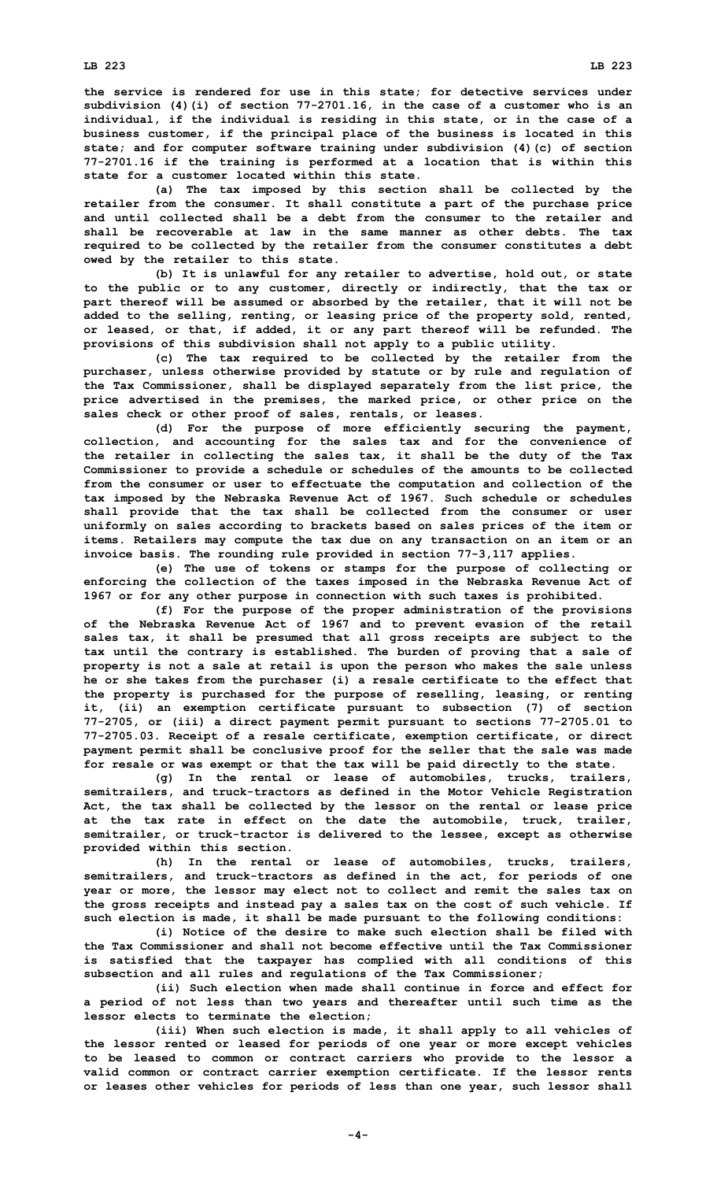**the service is rendered for use in this state; for detective services under subdivision (4)(i) of section 77-2701.16, in the case of <sup>a</sup> customer who is an individual, if the individual is residing in this state, or in the case of <sup>a</sup> business customer, if the principal place of the business is located in this state; and for computer software training under subdivision (4)(c) of section 77-2701.16 if the training is performed at <sup>a</sup> location that is within this state for a customer located within this state.**

**(a) The tax imposed by this section shall be collected by the retailer from the consumer. It shall constitute <sup>a</sup> part of the purchase price and until collected shall be a debt from the consumer to the retailer and shall be recoverable at law in the same manner as other debts. The tax required to be collected by the retailer from the consumer constitutes <sup>a</sup> debt owed by the retailer to this state.**

**(b) It is unlawful for any retailer to advertise, hold out, or state to the public or to any customer, directly or indirectly, that the tax or part thereof will be assumed or absorbed by the retailer, that it will not be added to the selling, renting, or leasing price of the property sold, rented, or leased, or that, if added, it or any part thereof will be refunded. The provisions of this subdivision shall not apply to <sup>a</sup> public utility.**

**(c) The tax required to be collected by the retailer from the purchaser, unless otherwise provided by statute or by rule and regulation of the Tax Commissioner, shall be displayed separately from the list price, the price advertised in the premises, the marked price, or other price on the sales check or other proof of sales, rentals, or leases.**

**(d) For the purpose of more efficiently securing the payment, collection, and accounting for the sales tax and for the convenience of the retailer in collecting the sales tax, it shall be the duty of the Tax Commissioner to provide <sup>a</sup> schedule or schedules of the amounts to be collected from the consumer or user to effectuate the computation and collection of the tax imposed by the Nebraska Revenue Act of 1967. Such schedule or schedules shall provide that the tax shall be collected from the consumer or user uniformly on sales according to brackets based on sales prices of the item or items. Retailers may compute the tax due on any transaction on an item or an invoice basis. The rounding rule provided in section 77-3,117 applies.**

**(e) The use of tokens or stamps for the purpose of collecting or enforcing the collection of the taxes imposed in the Nebraska Revenue Act of 1967 or for any other purpose in connection with such taxes is prohibited.**

**(f) For the purpose of the proper administration of the provisions of the Nebraska Revenue Act of 1967 and to prevent evasion of the retail sales tax, it shall be presumed that all gross receipts are subject to the tax until the contrary is established. The burden of proving that <sup>a</sup> sale of property is not <sup>a</sup> sale at retail is upon the person who makes the sale unless he or she takes from the purchaser (i) <sup>a</sup> resale certificate to the effect that the property is purchased for the purpose of reselling, leasing, or renting it, (ii) an exemption certificate pursuant to subsection (7) of section 77-2705, or (iii) <sup>a</sup> direct payment permit pursuant to sections 77-2705.01 to 77-2705.03. Receipt of <sup>a</sup> resale certificate, exemption certificate, or direct payment permit shall be conclusive proof for the seller that the sale was made for resale or was exempt or that the tax will be paid directly to the state.**

**(g) In the rental or lease of automobiles, trucks, trailers, semitrailers, and truck-tractors as defined in the Motor Vehicle Registration Act, the tax shall be collected by the lessor on the rental or lease price at the tax rate in effect on the date the automobile, truck, trailer, semitrailer, or truck-tractor is delivered to the lessee, except as otherwise provided within this section.**

**(h) In the rental or lease of automobiles, trucks, trailers, semitrailers, and truck-tractors as defined in the act, for periods of one year or more, the lessor may elect not to collect and remit the sales tax on the gross receipts and instead pay <sup>a</sup> sales tax on the cost of such vehicle. If such election is made, it shall be made pursuant to the following conditions:**

**(i) Notice of the desire to make such election shall be filed with the Tax Commissioner and shall not become effective until the Tax Commissioner is satisfied that the taxpayer has complied with all conditions of this subsection and all rules and regulations of the Tax Commissioner;**

**(ii) Such election when made shall continue in force and effect for <sup>a</sup> period of not less than two years and thereafter until such time as the lessor elects to terminate the election;**

**(iii) When such election is made, it shall apply to all vehicles of the lessor rented or leased for periods of one year or more except vehicles to be leased to common or contract carriers who provide to the lessor <sup>a</sup> valid common or contract carrier exemption certificate. If the lessor rents or leases other vehicles for periods of less than one year, such lessor shall**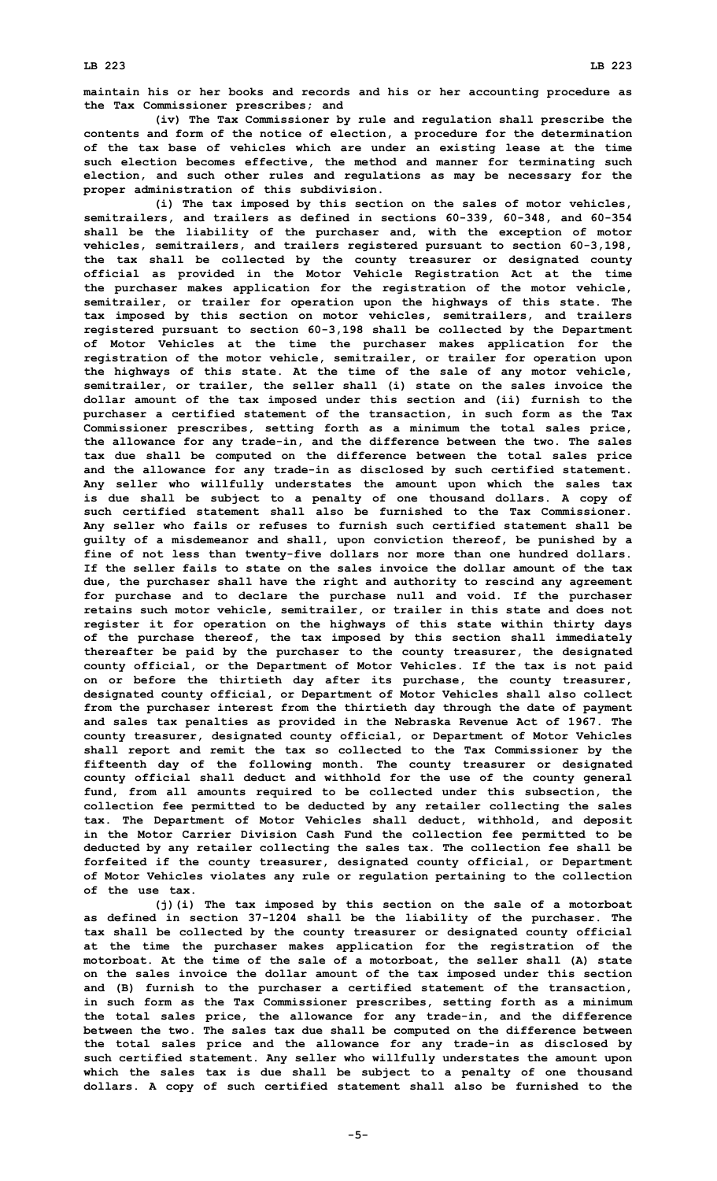**(iv) The Tax Commissioner by rule and regulation shall prescribe the contents and form of the notice of election, <sup>a</sup> procedure for the determination of the tax base of vehicles which are under an existing lease at the time such election becomes effective, the method and manner for terminating such election, and such other rules and regulations as may be necessary for the proper administration of this subdivision.**

**(i) The tax imposed by this section on the sales of motor vehicles, semitrailers, and trailers as defined in sections 60-339, 60-348, and 60-354 shall be the liability of the purchaser and, with the exception of motor vehicles, semitrailers, and trailers registered pursuant to section 60-3,198, the tax shall be collected by the county treasurer or designated county official as provided in the Motor Vehicle Registration Act at the time the purchaser makes application for the registration of the motor vehicle, semitrailer, or trailer for operation upon the highways of this state. The tax imposed by this section on motor vehicles, semitrailers, and trailers registered pursuant to section 60-3,198 shall be collected by the Department of Motor Vehicles at the time the purchaser makes application for the registration of the motor vehicle, semitrailer, or trailer for operation upon the highways of this state. At the time of the sale of any motor vehicle, semitrailer, or trailer, the seller shall (i) state on the sales invoice the dollar amount of the tax imposed under this section and (ii) furnish to the purchaser <sup>a</sup> certified statement of the transaction, in such form as the Tax Commissioner prescribes, setting forth as <sup>a</sup> minimum the total sales price, the allowance for any trade-in, and the difference between the two. The sales tax due shall be computed on the difference between the total sales price and the allowance for any trade-in as disclosed by such certified statement. Any seller who willfully understates the amount upon which the sales tax is due shall be subject to <sup>a</sup> penalty of one thousand dollars. A copy of such certified statement shall also be furnished to the Tax Commissioner. Any seller who fails or refuses to furnish such certified statement shall be guilty of <sup>a</sup> misdemeanor and shall, upon conviction thereof, be punished by <sup>a</sup> fine of not less than twenty-five dollars nor more than one hundred dollars. If the seller fails to state on the sales invoice the dollar amount of the tax due, the purchaser shall have the right and authority to rescind any agreement for purchase and to declare the purchase null and void. If the purchaser retains such motor vehicle, semitrailer, or trailer in this state and does not register it for operation on the highways of this state within thirty days of the purchase thereof, the tax imposed by this section shall immediately thereafter be paid by the purchaser to the county treasurer, the designated county official, or the Department of Motor Vehicles. If the tax is not paid on or before the thirtieth day after its purchase, the county treasurer, designated county official, or Department of Motor Vehicles shall also collect from the purchaser interest from the thirtieth day through the date of payment and sales tax penalties as provided in the Nebraska Revenue Act of 1967. The county treasurer, designated county official, or Department of Motor Vehicles shall report and remit the tax so collected to the Tax Commissioner by the fifteenth day of the following month. The county treasurer or designated county official shall deduct and withhold for the use of the county general fund, from all amounts required to be collected under this subsection, the collection fee permitted to be deducted by any retailer collecting the sales tax. The Department of Motor Vehicles shall deduct, withhold, and deposit in the Motor Carrier Division Cash Fund the collection fee permitted to be deducted by any retailer collecting the sales tax. The collection fee shall be forfeited if the county treasurer, designated county official, or Department of Motor Vehicles violates any rule or regulation pertaining to the collection of the use tax.**

**(j)(i) The tax imposed by this section on the sale of <sup>a</sup> motorboat as defined in section 37-1204 shall be the liability of the purchaser. The tax shall be collected by the county treasurer or designated county official at the time the purchaser makes application for the registration of the motorboat. At the time of the sale of <sup>a</sup> motorboat, the seller shall (A) state on the sales invoice the dollar amount of the tax imposed under this section and (B) furnish to the purchaser <sup>a</sup> certified statement of the transaction, in such form as the Tax Commissioner prescribes, setting forth as <sup>a</sup> minimum the total sales price, the allowance for any trade-in, and the difference between the two. The sales tax due shall be computed on the difference between the total sales price and the allowance for any trade-in as disclosed by such certified statement. Any seller who willfully understates the amount upon which the sales tax is due shall be subject to <sup>a</sup> penalty of one thousand dollars. A copy of such certified statement shall also be furnished to the**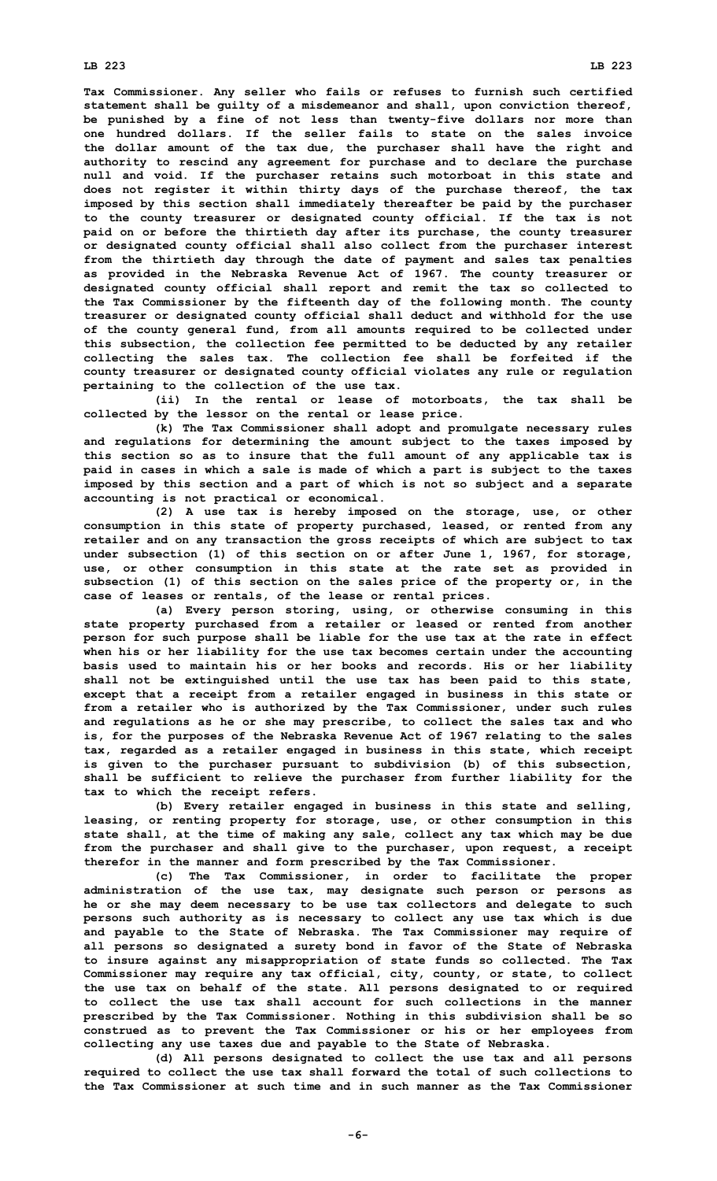**Tax Commissioner. Any seller who fails or refuses to furnish such certified statement shall be guilty of <sup>a</sup> misdemeanor and shall, upon conviction thereof, be punished by <sup>a</sup> fine of not less than twenty-five dollars nor more than one hundred dollars. If the seller fails to state on the sales invoice the dollar amount of the tax due, the purchaser shall have the right and authority to rescind any agreement for purchase and to declare the purchase null and void. If the purchaser retains such motorboat in this state and does not register it within thirty days of the purchase thereof, the tax imposed by this section shall immediately thereafter be paid by the purchaser to the county treasurer or designated county official. If the tax is not paid on or before the thirtieth day after its purchase, the county treasurer or designated county official shall also collect from the purchaser interest from the thirtieth day through the date of payment and sales tax penalties as provided in the Nebraska Revenue Act of 1967. The county treasurer or designated county official shall report and remit the tax so collected to the Tax Commissioner by the fifteenth day of the following month. The county treasurer or designated county official shall deduct and withhold for the use of the county general fund, from all amounts required to be collected under this subsection, the collection fee permitted to be deducted by any retailer collecting the sales tax. The collection fee shall be forfeited if the county treasurer or designated county official violates any rule or regulation pertaining to the collection of the use tax.**

**(ii) In the rental or lease of motorboats, the tax shall be collected by the lessor on the rental or lease price.**

**(k) The Tax Commissioner shall adopt and promulgate necessary rules and regulations for determining the amount subject to the taxes imposed by this section so as to insure that the full amount of any applicable tax is paid in cases in which <sup>a</sup> sale is made of which <sup>a</sup> part is subject to the taxes imposed by this section and <sup>a</sup> part of which is not so subject and <sup>a</sup> separate accounting is not practical or economical.**

**(2) <sup>A</sup> use tax is hereby imposed on the storage, use, or other consumption in this state of property purchased, leased, or rented from any retailer and on any transaction the gross receipts of which are subject to tax under subsection (1) of this section on or after June 1, 1967, for storage, use, or other consumption in this state at the rate set as provided in subsection (1) of this section on the sales price of the property or, in the case of leases or rentals, of the lease or rental prices.**

**(a) Every person storing, using, or otherwise consuming in this state property purchased from <sup>a</sup> retailer or leased or rented from another person for such purpose shall be liable for the use tax at the rate in effect when his or her liability for the use tax becomes certain under the accounting basis used to maintain his or her books and records. His or her liability shall not be extinguished until the use tax has been paid to this state, except that <sup>a</sup> receipt from <sup>a</sup> retailer engaged in business in this state or from <sup>a</sup> retailer who is authorized by the Tax Commissioner, under such rules and regulations as he or she may prescribe, to collect the sales tax and who is, for the purposes of the Nebraska Revenue Act of 1967 relating to the sales tax, regarded as <sup>a</sup> retailer engaged in business in this state, which receipt is given to the purchaser pursuant to subdivision (b) of this subsection, shall be sufficient to relieve the purchaser from further liability for the tax to which the receipt refers.**

**(b) Every retailer engaged in business in this state and selling, leasing, or renting property for storage, use, or other consumption in this state shall, at the time of making any sale, collect any tax which may be due from the purchaser and shall give to the purchaser, upon request, <sup>a</sup> receipt therefor in the manner and form prescribed by the Tax Commissioner.**

**(c) The Tax Commissioner, in order to facilitate the proper administration of the use tax, may designate such person or persons as he or she may deem necessary to be use tax collectors and delegate to such persons such authority as is necessary to collect any use tax which is due and payable to the State of Nebraska. The Tax Commissioner may require of all persons so designated <sup>a</sup> surety bond in favor of the State of Nebraska to insure against any misappropriation of state funds so collected. The Tax Commissioner may require any tax official, city, county, or state, to collect the use tax on behalf of the state. All persons designated to or required to collect the use tax shall account for such collections in the manner prescribed by the Tax Commissioner. Nothing in this subdivision shall be so construed as to prevent the Tax Commissioner or his or her employees from collecting any use taxes due and payable to the State of Nebraska.**

**(d) All persons designated to collect the use tax and all persons required to collect the use tax shall forward the total of such collections to the Tax Commissioner at such time and in such manner as the Tax Commissioner**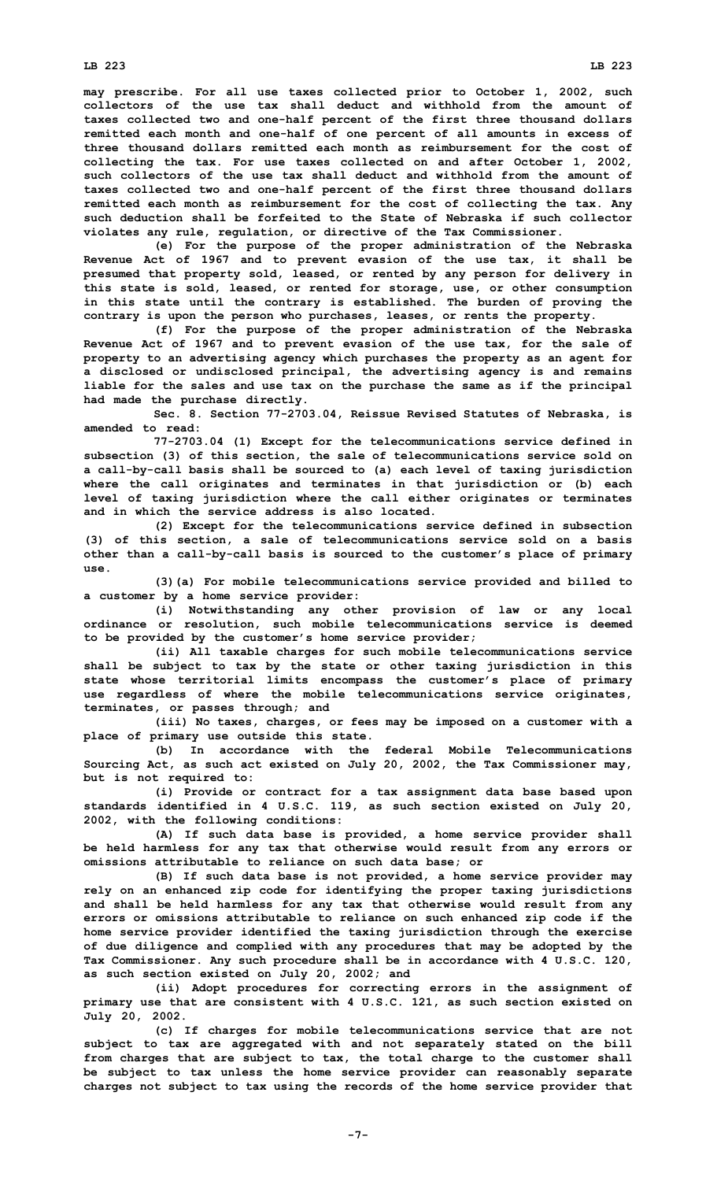**may prescribe. For all use taxes collected prior to October 1, 2002, such collectors of the use tax shall deduct and withhold from the amount of taxes collected two and one-half percent of the first three thousand dollars remitted each month and one-half of one percent of all amounts in excess of three thousand dollars remitted each month as reimbursement for the cost of collecting the tax. For use taxes collected on and after October 1, 2002, such collectors of the use tax shall deduct and withhold from the amount of taxes collected two and one-half percent of the first three thousand dollars remitted each month as reimbursement for the cost of collecting the tax. Any such deduction shall be forfeited to the State of Nebraska if such collector violates any rule, regulation, or directive of the Tax Commissioner.**

**(e) For the purpose of the proper administration of the Nebraska Revenue Act of 1967 and to prevent evasion of the use tax, it shall be presumed that property sold, leased, or rented by any person for delivery in this state is sold, leased, or rented for storage, use, or other consumption in this state until the contrary is established. The burden of proving the contrary is upon the person who purchases, leases, or rents the property.**

**(f) For the purpose of the proper administration of the Nebraska Revenue Act of 1967 and to prevent evasion of the use tax, for the sale of property to an advertising agency which purchases the property as an agent for <sup>a</sup> disclosed or undisclosed principal, the advertising agency is and remains liable for the sales and use tax on the purchase the same as if the principal had made the purchase directly.**

**Sec. 8. Section 77-2703.04, Reissue Revised Statutes of Nebraska, is amended to read:**

**77-2703.04 (1) Except for the telecommunications service defined in subsection (3) of this section, the sale of telecommunications service sold on <sup>a</sup> call-by-call basis shall be sourced to (a) each level of taxing jurisdiction where the call originates and terminates in that jurisdiction or (b) each level of taxing jurisdiction where the call either originates or terminates and in which the service address is also located.**

**(2) Except for the telecommunications service defined in subsection (3) of this section, <sup>a</sup> sale of telecommunications service sold on <sup>a</sup> basis other than <sup>a</sup> call-by-call basis is sourced to the customer's place of primary use.**

**(3)(a) For mobile telecommunications service provided and billed to <sup>a</sup> customer by <sup>a</sup> home service provider:**

**(i) Notwithstanding any other provision of law or any local ordinance or resolution, such mobile telecommunications service is deemed to be provided by the customer's home service provider;**

**(ii) All taxable charges for such mobile telecommunications service shall be subject to tax by the state or other taxing jurisdiction in this state whose territorial limits encompass the customer's place of primary use regardless of where the mobile telecommunications service originates, terminates, or passes through; and**

**(iii) No taxes, charges, or fees may be imposed on <sup>a</sup> customer with <sup>a</sup> place of primary use outside this state.**

**(b) In accordance with the federal Mobile Telecommunications Sourcing Act, as such act existed on July 20, 2002, the Tax Commissioner may, but is not required to:**

**(i) Provide or contract for <sup>a</sup> tax assignment data base based upon standards identified in 4 U.S.C. 119, as such section existed on July 20, 2002, with the following conditions:**

**(A) If such data base is provided, <sup>a</sup> home service provider shall be held harmless for any tax that otherwise would result from any errors or omissions attributable to reliance on such data base; or**

**(B) If such data base is not provided, <sup>a</sup> home service provider may rely on an enhanced zip code for identifying the proper taxing jurisdictions and shall be held harmless for any tax that otherwise would result from any errors or omissions attributable to reliance on such enhanced zip code if the home service provider identified the taxing jurisdiction through the exercise of due diligence and complied with any procedures that may be adopted by the Tax Commissioner. Any such procedure shall be in accordance with 4 U.S.C. 120, as such section existed on July 20, 2002; and**

**(ii) Adopt procedures for correcting errors in the assignment of primary use that are consistent with 4 U.S.C. 121, as such section existed on July 20, 2002.**

**(c) If charges for mobile telecommunications service that are not subject to tax are aggregated with and not separately stated on the bill from charges that are subject to tax, the total charge to the customer shall be subject to tax unless the home service provider can reasonably separate charges not subject to tax using the records of the home service provider that**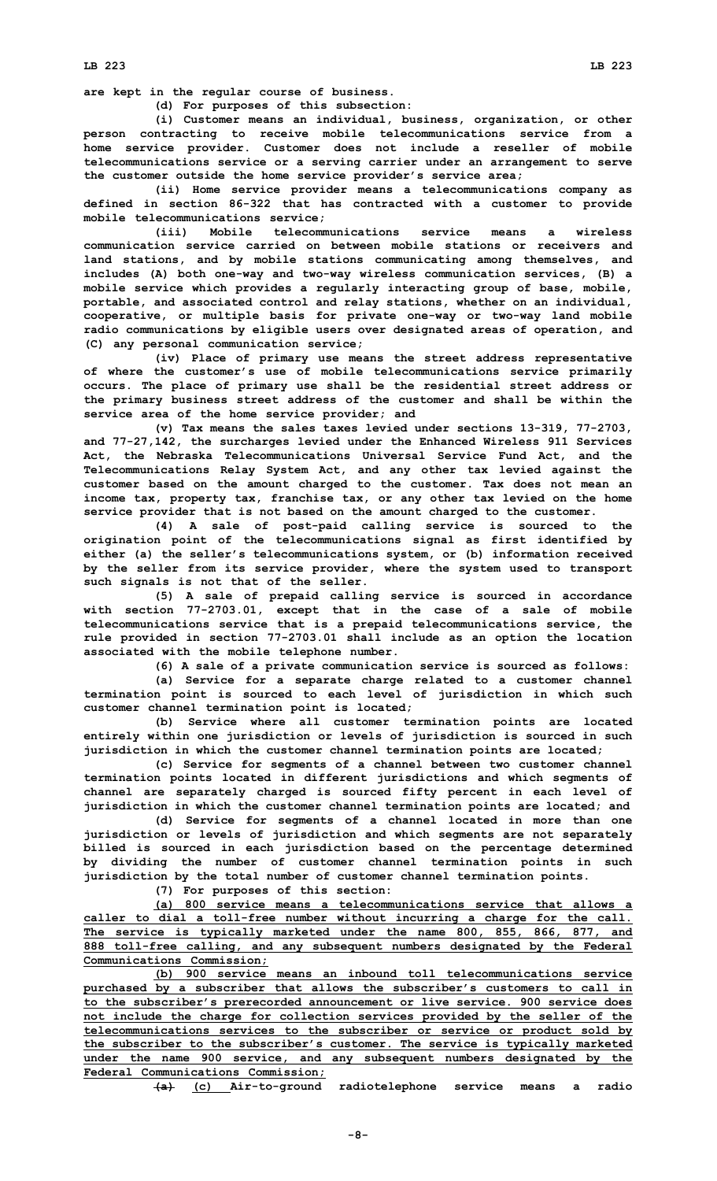**are kept in the regular course of business.**

**(d) For purposes of this subsection:**

**(i) Customer means an individual, business, organization, or other person contracting to receive mobile telecommunications service from <sup>a</sup> home service provider. Customer does not include <sup>a</sup> reseller of mobile telecommunications service or <sup>a</sup> serving carrier under an arrangement to serve the customer outside the home service provider's service area;**

**(ii) Home service provider means <sup>a</sup> telecommunications company as defined in section 86-322 that has contracted with <sup>a</sup> customer to provide mobile telecommunications service;**

**(iii) Mobile telecommunications service means <sup>a</sup> wireless communication service carried on between mobile stations or receivers and land stations, and by mobile stations communicating among themselves, and includes (A) both one-way and two-way wireless communication services, (B) <sup>a</sup> mobile service which provides <sup>a</sup> regularly interacting group of base, mobile, portable, and associated control and relay stations, whether on an individual, cooperative, or multiple basis for private one-way or two-way land mobile radio communications by eligible users over designated areas of operation, and (C) any personal communication service;**

**(iv) Place of primary use means the street address representative of where the customer's use of mobile telecommunications service primarily occurs. The place of primary use shall be the residential street address or the primary business street address of the customer and shall be within the service area of the home service provider; and**

**(v) Tax means the sales taxes levied under sections 13-319, 77-2703, and 77-27,142, the surcharges levied under the Enhanced Wireless 911 Services Act, the Nebraska Telecommunications Universal Service Fund Act, and the Telecommunications Relay System Act, and any other tax levied against the customer based on the amount charged to the customer. Tax does not mean an income tax, property tax, franchise tax, or any other tax levied on the home service provider that is not based on the amount charged to the customer.**

**(4) <sup>A</sup> sale of post-paid calling service is sourced to the origination point of the telecommunications signal as first identified by either (a) the seller's telecommunications system, or (b) information received by the seller from its service provider, where the system used to transport such signals is not that of the seller.**

**(5) <sup>A</sup> sale of prepaid calling service is sourced in accordance with section 77-2703.01, except that in the case of <sup>a</sup> sale of mobile telecommunications service that is <sup>a</sup> prepaid telecommunications service, the rule provided in section 77-2703.01 shall include as an option the location associated with the mobile telephone number.**

**(6) <sup>A</sup> sale of <sup>a</sup> private communication service is sourced as follows:**

**(a) Service for <sup>a</sup> separate charge related to <sup>a</sup> customer channel termination point is sourced to each level of jurisdiction in which such customer channel termination point is located;**

**(b) Service where all customer termination points are located entirely within one jurisdiction or levels of jurisdiction is sourced in such jurisdiction in which the customer channel termination points are located;**

**(c) Service for segments of <sup>a</sup> channel between two customer channel termination points located in different jurisdictions and which segments of channel are separately charged is sourced fifty percent in each level of jurisdiction in which the customer channel termination points are located; and**

**(d) Service for segments of <sup>a</sup> channel located in more than one jurisdiction or levels of jurisdiction and which segments are not separately billed is sourced in each jurisdiction based on the percentage determined by dividing the number of customer channel termination points in such jurisdiction by the total number of customer channel termination points.**

**(7) For purposes of this section:**

**(a) 800 service means <sup>a</sup> telecommunications service that allows <sup>a</sup> caller to dial <sup>a</sup> toll-free number without incurring <sup>a</sup> charge for the call. The service is typically marketed under the name 800, 855, 866, 877, and 888 toll-free calling, and any subsequent numbers designated by the Federal Communications Commission;**

**(b) 900 service means an inbound toll telecommunications service purchased by <sup>a</sup> subscriber that allows the subscriber's customers to call in to the subscriber's prerecorded announcement or live service. 900 service does not include the charge for collection services provided by the seller of the telecommunications services to the subscriber or service or product sold by the subscriber to the subscriber's customer. The service is typically marketed under the name 900 service, and any subsequent numbers designated by the Federal Communications Commission;**

**(a) (c) Air-to-ground radiotelephone service means <sup>a</sup> radio**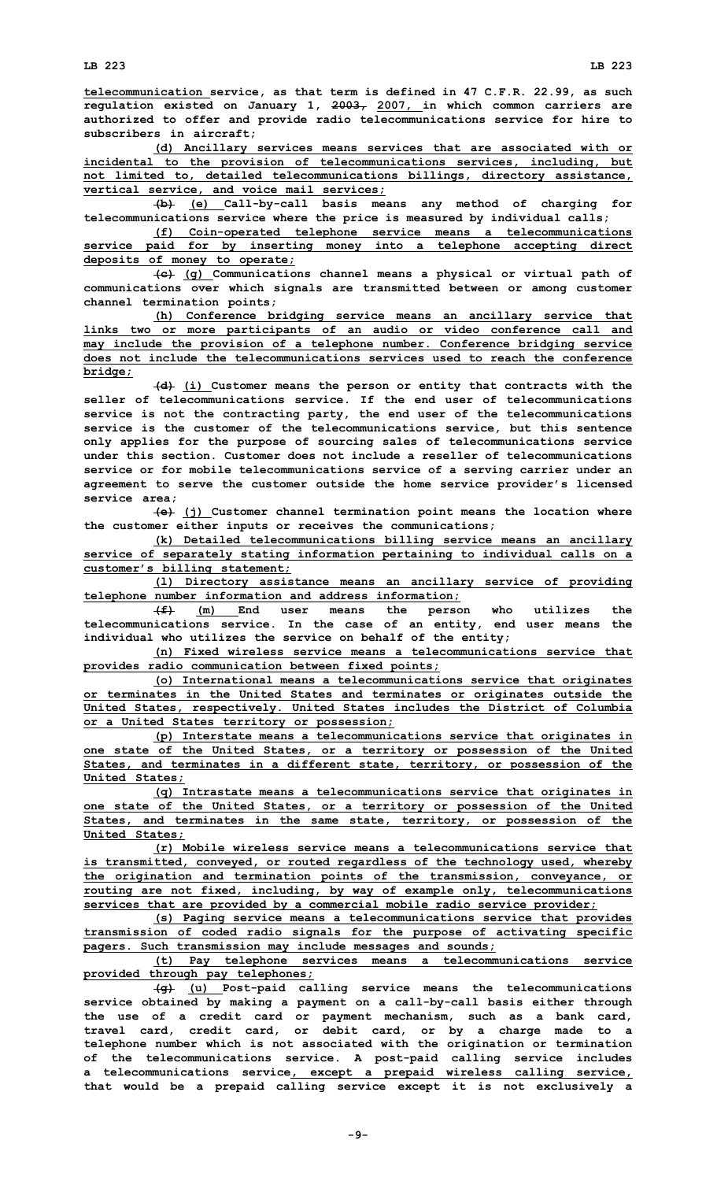**telecommunication service, as that term is defined in 47 C.F.R. 22.99, as such regulation existed on January 1, 2003, 2007, in which common carriers are authorized to offer and provide radio telecommunications service for hire to subscribers in aircraft;**

**(d) Ancillary services means services that are associated with or incidental to the provision of telecommunications services, including, but not limited to, detailed telecommunications billings, directory assistance, vertical service, and voice mail services;**

**(b) (e) Call-by-call basis means any method of charging for telecommunications service where the price is measured by individual calls;**

**(f) Coin-operated telephone service means <sup>a</sup> telecommunications service paid for by inserting money into <sup>a</sup> telephone accepting direct deposits of money to operate;**

**(c) (g) Communications channel means <sup>a</sup> physical or virtual path of communications over which signals are transmitted between or among customer channel termination points;**

**(h) Conference bridging service means an ancillary service that links two or more participants of an audio or video conference call and may include the provision of <sup>a</sup> telephone number. Conference bridging service does not include the telecommunications services used to reach the conference bridge;**

**(d) (i) Customer means the person or entity that contracts with the seller of telecommunications service. If the end user of telecommunications service is not the contracting party, the end user of the telecommunications service is the customer of the telecommunications service, but this sentence only applies for the purpose of sourcing sales of telecommunications service under this section. Customer does not include a reseller of telecommunications service or for mobile telecommunications service of <sup>a</sup> serving carrier under an agreement to serve the customer outside the home service provider's licensed service area;**

**(e) (j) Customer channel termination point means the location where the customer either inputs or receives the communications;**

**(k) Detailed telecommunications billing service means an ancillary service of separately stating information pertaining to individual calls on <sup>a</sup> customer's billing statement;**

**(l) Directory assistance means an ancillary service of providing telephone number information and address information;**

**(f) (m) End user means the person who utilizes the telecommunications service. In the case of an entity, end user means the individual who utilizes the service on behalf of the entity;**

**(n) Fixed wireless service means <sup>a</sup> telecommunications service that provides radio communication between fixed points;**

**(o) International means <sup>a</sup> telecommunications service that originates or terminates in the United States and terminates or originates outside the United States, respectively. United States includes the District of Columbia or <sup>a</sup> United States territory or possession;**

**(p) Interstate means <sup>a</sup> telecommunications service that originates in one state of the United States, or <sup>a</sup> territory or possession of the United States, and terminates in <sup>a</sup> different state, territory, or possession of the United States;**

**(q) Intrastate means <sup>a</sup> telecommunications service that originates in one state of the United States, or <sup>a</sup> territory or possession of the United States, and terminates in the same state, territory, or possession of the United States;**

**(r) Mobile wireless service means <sup>a</sup> telecommunications service that is transmitted, conveyed, or routed regardless of the technology used, whereby the origination and termination points of the transmission, conveyance, or routing are not fixed, including, by way of example only, telecommunications services that are provided by <sup>a</sup> commercial mobile radio service provider;**

**(s) Paging service means <sup>a</sup> telecommunications service that provides transmission of coded radio signals for the purpose of activating specific pagers. Such transmission may include messages and sounds;**

**(t) Pay telephone services means <sup>a</sup> telecommunications service provided through pay telephones;**

**(g) (u) Post-paid calling service means the telecommunications service obtained by making <sup>a</sup> payment on <sup>a</sup> call-by-call basis either through the use of <sup>a</sup> credit card or payment mechanism, such as <sup>a</sup> bank card, travel card, credit card, or debit card, or by <sup>a</sup> charge made to <sup>a</sup> telephone number which is not associated with the origination or termination of the telecommunications service. A post-paid calling service includes <sup>a</sup> telecommunications service, except <sup>a</sup> prepaid wireless calling service, that would be <sup>a</sup> prepaid calling service except it is not exclusively <sup>a</sup>**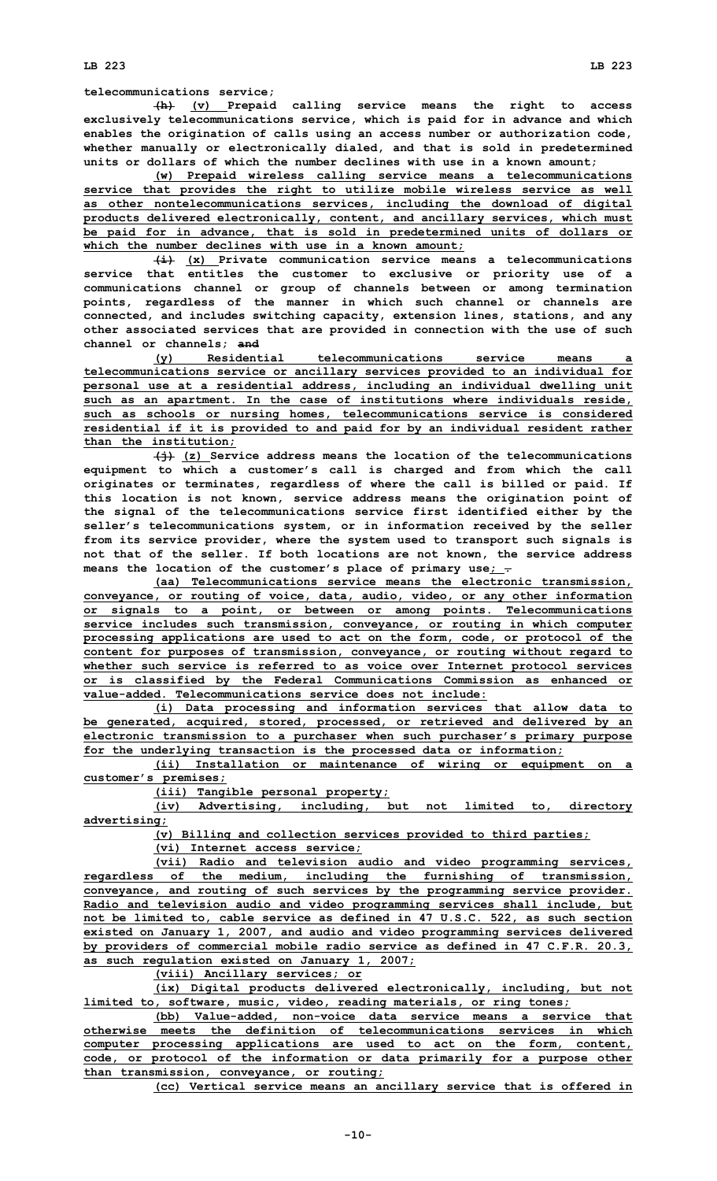## **telecommunications service;**

**(h) (v) Prepaid calling service means the right to access exclusively telecommunications service, which is paid for in advance and which enables the origination of calls using an access number or authorization code, whether manually or electronically dialed, and that is sold in predetermined units or dollars of which the number declines with use in <sup>a</sup> known amount;**

**(w) Prepaid wireless calling service means <sup>a</sup> telecommunications service that provides the right to utilize mobile wireless service as well as other nontelecommunications services, including the download of digital products delivered electronically, content, and ancillary services, which must be paid for in advance, that is sold in predetermined units of dollars or which the number declines with use in <sup>a</sup> known amount;**

**(i) (x) Private communication service means <sup>a</sup> telecommunications service that entitles the customer to exclusive or priority use of <sup>a</sup> communications channel or group of channels between or among termination points, regardless of the manner in which such channel or channels are connected, and includes switching capacity, extension lines, stations, and any other associated services that are provided in connection with the use of such channel or channels; and**

**(y) Residential telecommunications service means <sup>a</sup> telecommunications service or ancillary services provided to an individual for personal use at <sup>a</sup> residential address, including an individual dwelling unit such as an apartment. In the case of institutions where individuals reside, such as schools or nursing homes, telecommunications service is considered residential if it is provided to and paid for by an individual resident rather than the institution;**

**(j) (z) Service address means the location of the telecommunications equipment to which <sup>a</sup> customer's call is charged and from which the call originates or terminates, regardless of where the call is billed or paid. If this location is not known, service address means the origination point of the signal of the telecommunications service first identified either by the seller's telecommunications system, or in information received by the seller from its service provider, where the system used to transport such signals is not that of the seller. If both locations are not known, the service address means the location of the customer's place of primary use; .**

**(aa) Telecommunications service means the electronic transmission, conveyance, or routing of voice, data, audio, video, or any other information or signals to <sup>a</sup> point, or between or among points. Telecommunications service includes such transmission, conveyance, or routing in which computer processing applications are used to act on the form, code, or protocol of the content for purposes of transmission, conveyance, or routing without regard to whether such service is referred to as voice over Internet protocol services or is classified by the Federal Communications Commission as enhanced or value-added. Telecommunications service does not include:**

**(i) Data processing and information services that allow data to be generated, acquired, stored, processed, or retrieved and delivered by an electronic transmission to <sup>a</sup> purchaser when such purchaser's primary purpose for the underlying transaction is the processed data or information;**

**(ii) Installation or maintenance of wiring or equipment on <sup>a</sup> customer's premises;**

**(iii) Tangible personal property;**

**(iv) Advertising, including, but not limited to, directory advertising;**

**(v) Billing and collection services provided to third parties;**

**(vi) Internet access service;**

**(vii) Radio and television audio and video programming services, regardless of the medium, including the furnishing of transmission, conveyance, and routing of such services by the programming service provider. Radio and television audio and video programming services shall include, but not be limited to, cable service as defined in 47 U.S.C. 522, as such section existed on January 1, 2007, and audio and video programming services delivered by providers of commercial mobile radio service as defined in 47 C.F.R. 20.3, as such regulation existed on January 1, 2007;**

**(viii) Ancillary services; or**

**(ix) Digital products delivered electronically, including, but not limited to, software, music, video, reading materials, or ring tones;**

**(bb) Value-added, non-voice data service means <sup>a</sup> service that otherwise meets the definition of telecommunications services in which computer processing applications are used to act on the form, content, code, or protocol of the information or data primarily for <sup>a</sup> purpose other than transmission, conveyance, or routing;**

**(cc) Vertical service means an ancillary service that is offered in**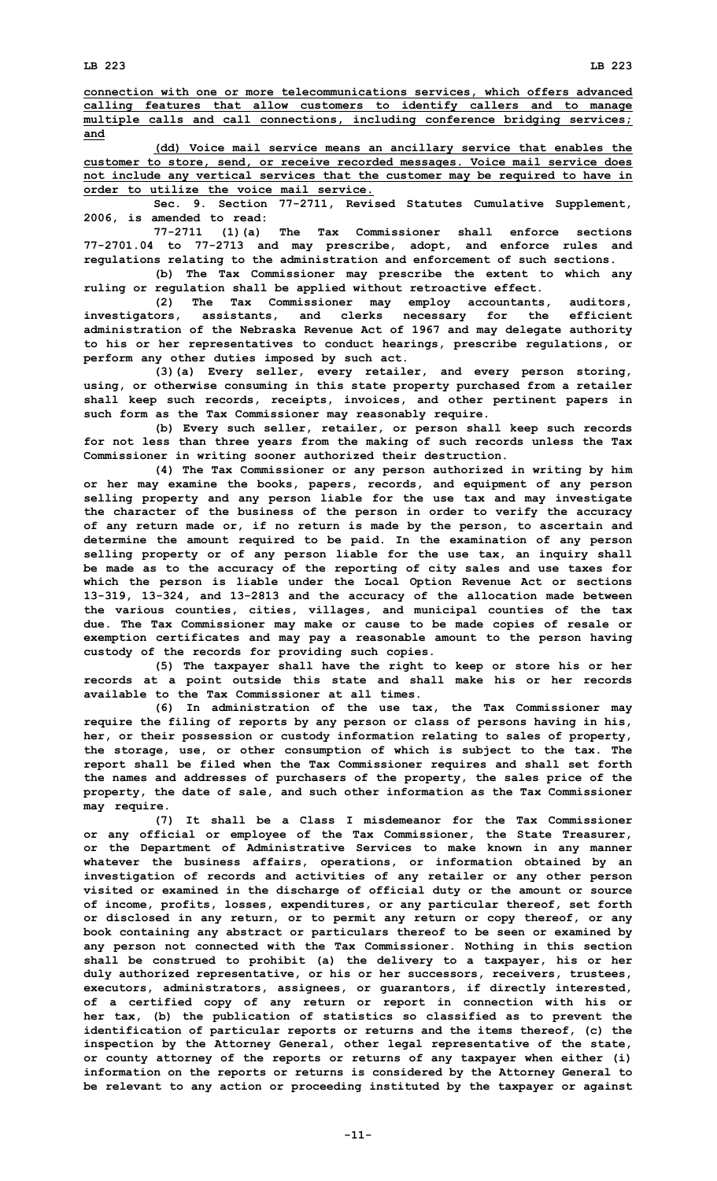**connection with one or more telecommunications services, which offers advanced calling features that allow customers to identify callers and to manage multiple calls and call connections, including conference bridging services; and**

**(dd) Voice mail service means an ancillary service that enables the customer to store, send, or receive recorded messages. Voice mail service does not include any vertical services that the customer may be required to have in order to utilize the voice mail service.**

**Sec. 9. Section 77-2711, Revised Statutes Cumulative Supplement, 2006, is amended to read:**

**77-2711 (1)(a) The Tax Commissioner shall enforce sections 77-2701.04 to 77-2713 and may prescribe, adopt, and enforce rules and regulations relating to the administration and enforcement of such sections.**

**(b) The Tax Commissioner may prescribe the extent to which any ruling or regulation shall be applied without retroactive effect.**

**(2) The Tax Commissioner may employ accountants, auditors, investigators, assistants, and clerks necessary for the efficient administration of the Nebraska Revenue Act of 1967 and may delegate authority to his or her representatives to conduct hearings, prescribe regulations, or perform any other duties imposed by such act.**

**(3)(a) Every seller, every retailer, and every person storing, using, or otherwise consuming in this state property purchased from <sup>a</sup> retailer shall keep such records, receipts, invoices, and other pertinent papers in such form as the Tax Commissioner may reasonably require.**

**(b) Every such seller, retailer, or person shall keep such records for not less than three years from the making of such records unless the Tax Commissioner in writing sooner authorized their destruction.**

**(4) The Tax Commissioner or any person authorized in writing by him or her may examine the books, papers, records, and equipment of any person selling property and any person liable for the use tax and may investigate the character of the business of the person in order to verify the accuracy of any return made or, if no return is made by the person, to ascertain and determine the amount required to be paid. In the examination of any person selling property or of any person liable for the use tax, an inquiry shall be made as to the accuracy of the reporting of city sales and use taxes for which the person is liable under the Local Option Revenue Act or sections 13-319, 13-324, and 13-2813 and the accuracy of the allocation made between the various counties, cities, villages, and municipal counties of the tax due. The Tax Commissioner may make or cause to be made copies of resale or exemption certificates and may pay <sup>a</sup> reasonable amount to the person having custody of the records for providing such copies.**

**(5) The taxpayer shall have the right to keep or store his or her records at <sup>a</sup> point outside this state and shall make his or her records available to the Tax Commissioner at all times.**

**(6) In administration of the use tax, the Tax Commissioner may require the filing of reports by any person or class of persons having in his, her, or their possession or custody information relating to sales of property, the storage, use, or other consumption of which is subject to the tax. The report shall be filed when the Tax Commissioner requires and shall set forth the names and addresses of purchasers of the property, the sales price of the property, the date of sale, and such other information as the Tax Commissioner may require.**

**(7) It shall be <sup>a</sup> Class I misdemeanor for the Tax Commissioner or any official or employee of the Tax Commissioner, the State Treasurer, or the Department of Administrative Services to make known in any manner whatever the business affairs, operations, or information obtained by an investigation of records and activities of any retailer or any other person visited or examined in the discharge of official duty or the amount or source of income, profits, losses, expenditures, or any particular thereof, set forth or disclosed in any return, or to permit any return or copy thereof, or any book containing any abstract or particulars thereof to be seen or examined by any person not connected with the Tax Commissioner. Nothing in this section shall be construed to prohibit (a) the delivery to <sup>a</sup> taxpayer, his or her duly authorized representative, or his or her successors, receivers, trustees, executors, administrators, assignees, or guarantors, if directly interested, of <sup>a</sup> certified copy of any return or report in connection with his or her tax, (b) the publication of statistics so classified as to prevent the identification of particular reports or returns and the items thereof, (c) the inspection by the Attorney General, other legal representative of the state, or county attorney of the reports or returns of any taxpayer when either (i) information on the reports or returns is considered by the Attorney General to be relevant to any action or proceeding instituted by the taxpayer or against**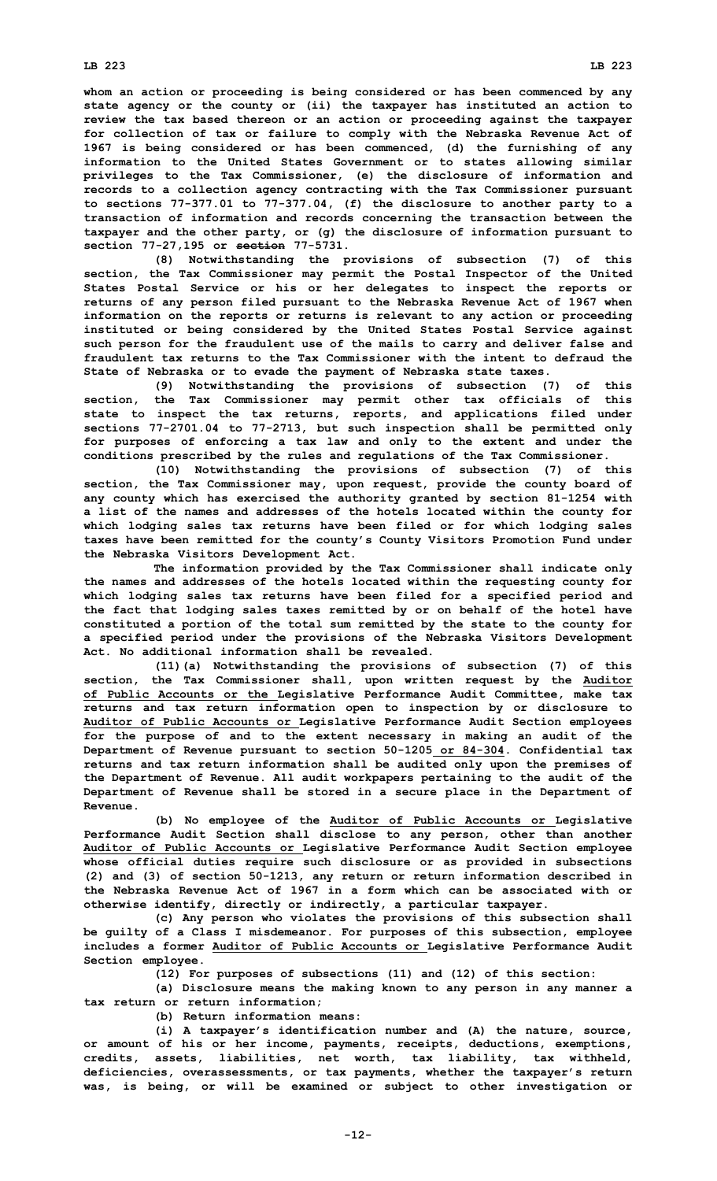## **LB 223 LB 223**

**whom an action or proceeding is being considered or has been commenced by any state agency or the county or (ii) the taxpayer has instituted an action to review the tax based thereon or an action or proceeding against the taxpayer for collection of tax or failure to comply with the Nebraska Revenue Act of 1967 is being considered or has been commenced, (d) the furnishing of any information to the United States Government or to states allowing similar privileges to the Tax Commissioner, (e) the disclosure of information and records to <sup>a</sup> collection agency contracting with the Tax Commissioner pursuant to sections 77-377.01 to 77-377.04, (f) the disclosure to another party to <sup>a</sup> transaction of information and records concerning the transaction between the taxpayer and the other party, or (g) the disclosure of information pursuant to section 77-27,195 or section 77-5731.**

**(8) Notwithstanding the provisions of subsection (7) of this section, the Tax Commissioner may permit the Postal Inspector of the United States Postal Service or his or her delegates to inspect the reports or returns of any person filed pursuant to the Nebraska Revenue Act of 1967 when information on the reports or returns is relevant to any action or proceeding instituted or being considered by the United States Postal Service against such person for the fraudulent use of the mails to carry and deliver false and fraudulent tax returns to the Tax Commissioner with the intent to defraud the State of Nebraska or to evade the payment of Nebraska state taxes.**

**(9) Notwithstanding the provisions of subsection (7) of this section, the Tax Commissioner may permit other tax officials of this state to inspect the tax returns, reports, and applications filed under sections 77-2701.04 to 77-2713, but such inspection shall be permitted only for purposes of enforcing <sup>a</sup> tax law and only to the extent and under the conditions prescribed by the rules and regulations of the Tax Commissioner.**

**(10) Notwithstanding the provisions of subsection (7) of this section, the Tax Commissioner may, upon request, provide the county board of any county which has exercised the authority granted by section 81-1254 with <sup>a</sup> list of the names and addresses of the hotels located within the county for which lodging sales tax returns have been filed or for which lodging sales taxes have been remitted for the county's County Visitors Promotion Fund under the Nebraska Visitors Development Act.**

**The information provided by the Tax Commissioner shall indicate only the names and addresses of the hotels located within the requesting county for which lodging sales tax returns have been filed for <sup>a</sup> specified period and the fact that lodging sales taxes remitted by or on behalf of the hotel have constituted <sup>a</sup> portion of the total sum remitted by the state to the county for <sup>a</sup> specified period under the provisions of the Nebraska Visitors Development Act. No additional information shall be revealed.**

**(11)(a) Notwithstanding the provisions of subsection (7) of this section, the Tax Commissioner shall, upon written request by the Auditor of Public Accounts or the Legislative Performance Audit Committee, make tax returns and tax return information open to inspection by or disclosure to Auditor of Public Accounts or Legislative Performance Audit Section employees for the purpose of and to the extent necessary in making an audit of the Department of Revenue pursuant to section 50-1205 or 84-304. Confidential tax returns and tax return information shall be audited only upon the premises of the Department of Revenue. All audit workpapers pertaining to the audit of the Department of Revenue shall be stored in <sup>a</sup> secure place in the Department of Revenue.**

**(b) No employee of the Auditor of Public Accounts or Legislative Performance Audit Section shall disclose to any person, other than another Auditor of Public Accounts or Legislative Performance Audit Section employee whose official duties require such disclosure or as provided in subsections (2) and (3) of section 50-1213, any return or return information described in the Nebraska Revenue Act of 1967 in a form which can be associated with or otherwise identify, directly or indirectly, <sup>a</sup> particular taxpayer.**

**(c) Any person who violates the provisions of this subsection shall be guilty of <sup>a</sup> Class I misdemeanor. For purposes of this subsection, employee includes <sup>a</sup> former Auditor of Public Accounts or Legislative Performance Audit Section employee.**

**(12) For purposes of subsections (11) and (12) of this section:**

**(a) Disclosure means the making known to any person in any manner <sup>a</sup> tax return or return information;**

**(b) Return information means:**

**(i) <sup>A</sup> taxpayer's identification number and (A) the nature, source, or amount of his or her income, payments, receipts, deductions, exemptions, credits, assets, liabilities, net worth, tax liability, tax withheld, deficiencies, overassessments, or tax payments, whether the taxpayer's return was, is being, or will be examined or subject to other investigation or**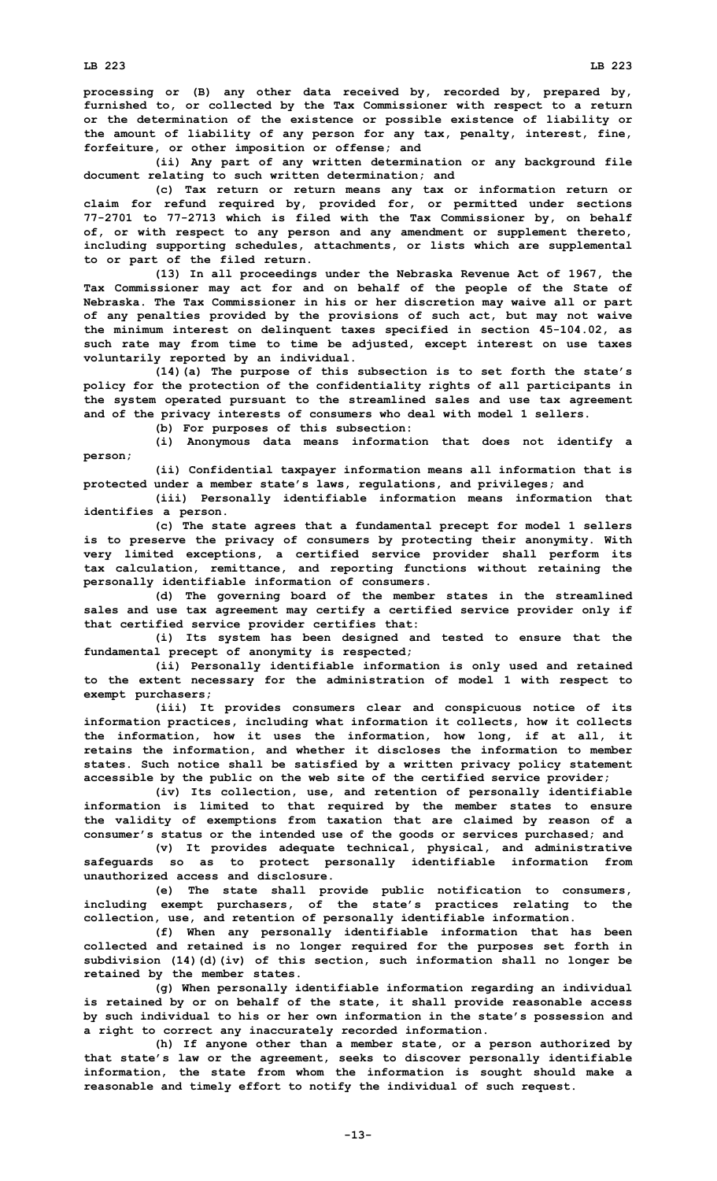**processing or (B) any other data received by, recorded by, prepared by, furnished to, or collected by the Tax Commissioner with respect to <sup>a</sup> return or the determination of the existence or possible existence of liability or the amount of liability of any person for any tax, penalty, interest, fine, forfeiture, or other imposition or offense; and**

**(ii) Any part of any written determination or any background file document relating to such written determination; and**

**(c) Tax return or return means any tax or information return or claim for refund required by, provided for, or permitted under sections 77-2701 to 77-2713 which is filed with the Tax Commissioner by, on behalf of, or with respect to any person and any amendment or supplement thereto, including supporting schedules, attachments, or lists which are supplemental to or part of the filed return.**

**(13) In all proceedings under the Nebraska Revenue Act of 1967, the Tax Commissioner may act for and on behalf of the people of the State of Nebraska. The Tax Commissioner in his or her discretion may waive all or part of any penalties provided by the provisions of such act, but may not waive the minimum interest on delinquent taxes specified in section 45-104.02, as such rate may from time to time be adjusted, except interest on use taxes voluntarily reported by an individual.**

**(14)(a) The purpose of this subsection is to set forth the state's policy for the protection of the confidentiality rights of all participants in the system operated pursuant to the streamlined sales and use tax agreement and of the privacy interests of consumers who deal with model 1 sellers.**

**(b) For purposes of this subsection:**

**(i) Anonymous data means information that does not identify <sup>a</sup> person;**

**(ii) Confidential taxpayer information means all information that is protected under <sup>a</sup> member state's laws, regulations, and privileges; and**

**(iii) Personally identifiable information means information that identifies <sup>a</sup> person.**

**(c) The state agrees that <sup>a</sup> fundamental precept for model 1 sellers is to preserve the privacy of consumers by protecting their anonymity. With very limited exceptions, <sup>a</sup> certified service provider shall perform its tax calculation, remittance, and reporting functions without retaining the personally identifiable information of consumers.**

**(d) The governing board of the member states in the streamlined sales and use tax agreement may certify <sup>a</sup> certified service provider only if that certified service provider certifies that:**

**(i) Its system has been designed and tested to ensure that the fundamental precept of anonymity is respected;**

**(ii) Personally identifiable information is only used and retained to the extent necessary for the administration of model 1 with respect to exempt purchasers;**

**(iii) It provides consumers clear and conspicuous notice of its information practices, including what information it collects, how it collects the information, how it uses the information, how long, if at all, it retains the information, and whether it discloses the information to member states. Such notice shall be satisfied by <sup>a</sup> written privacy policy statement accessible by the public on the web site of the certified service provider;**

**(iv) Its collection, use, and retention of personally identifiable information is limited to that required by the member states to ensure the validity of exemptions from taxation that are claimed by reason of <sup>a</sup> consumer's status or the intended use of the goods or services purchased; and**

**(v) It provides adequate technical, physical, and administrative safeguards so as to protect personally identifiable information from unauthorized access and disclosure.**

**(e) The state shall provide public notification to consumers, including exempt purchasers, of the state's practices relating to the collection, use, and retention of personally identifiable information.**

**(f) When any personally identifiable information that has been collected and retained is no longer required for the purposes set forth in subdivision (14)(d)(iv) of this section, such information shall no longer be retained by the member states.**

**(g) When personally identifiable information regarding an individual is retained by or on behalf of the state, it shall provide reasonable access by such individual to his or her own information in the state's possession and <sup>a</sup> right to correct any inaccurately recorded information.**

**(h) If anyone other than <sup>a</sup> member state, or <sup>a</sup> person authorized by that state's law or the agreement, seeks to discover personally identifiable information, the state from whom the information is sought should make <sup>a</sup> reasonable and timely effort to notify the individual of such request.**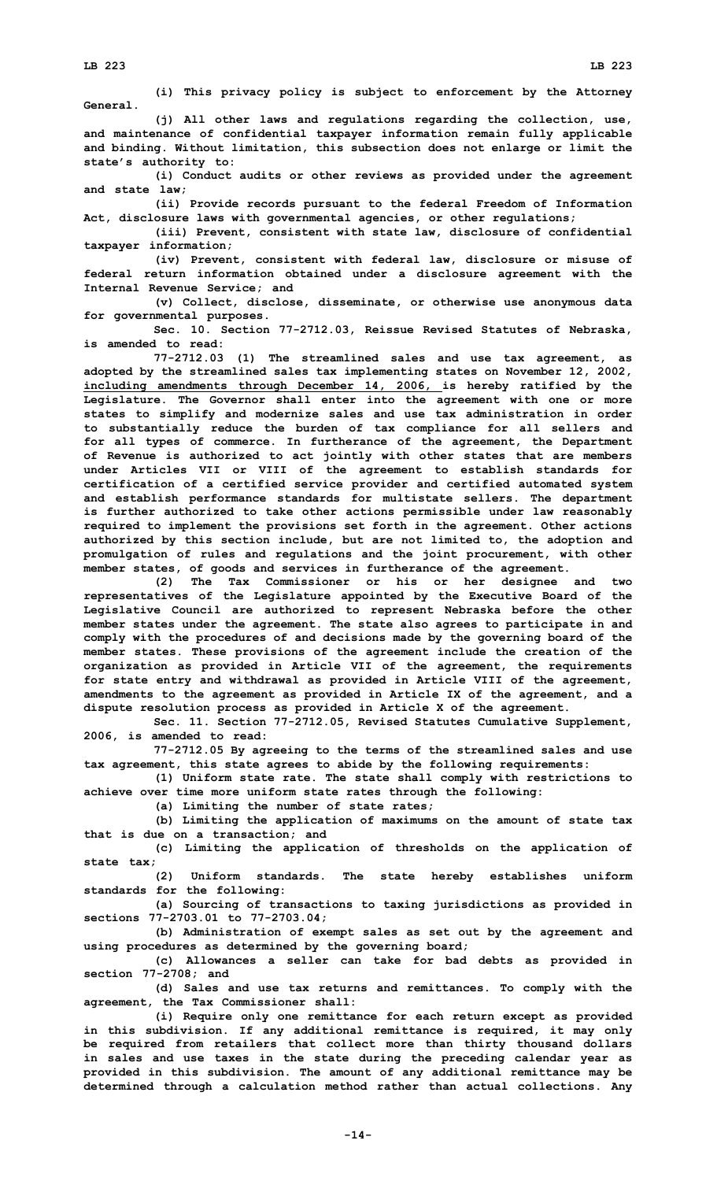**(i) This privacy policy is subject to enforcement by the Attorney General.**

**(j) All other laws and regulations regarding the collection, use, and maintenance of confidential taxpayer information remain fully applicable and binding. Without limitation, this subsection does not enlarge or limit the state's authority to:**

**(i) Conduct audits or other reviews as provided under the agreement and state law;**

**(ii) Provide records pursuant to the federal Freedom of Information Act, disclosure laws with governmental agencies, or other regulations;**

**(iii) Prevent, consistent with state law, disclosure of confidential taxpayer information;**

**(iv) Prevent, consistent with federal law, disclosure or misuse of federal return information obtained under <sup>a</sup> disclosure agreement with the Internal Revenue Service; and**

**(v) Collect, disclose, disseminate, or otherwise use anonymous data for governmental purposes.**

**Sec. 10. Section 77-2712.03, Reissue Revised Statutes of Nebraska, is amended to read:**

**77-2712.03 (1) The streamlined sales and use tax agreement, as adopted by the streamlined sales tax implementing states on November 12, 2002, including amendments through December 14, 2006, is hereby ratified by the Legislature. The Governor shall enter into the agreement with one or more states to simplify and modernize sales and use tax administration in order to substantially reduce the burden of tax compliance for all sellers and for all types of commerce. In furtherance of the agreement, the Department of Revenue is authorized to act jointly with other states that are members under Articles VII or VIII of the agreement to establish standards for certification of <sup>a</sup> certified service provider and certified automated system and establish performance standards for multistate sellers. The department is further authorized to take other actions permissible under law reasonably required to implement the provisions set forth in the agreement. Other actions authorized by this section include, but are not limited to, the adoption and promulgation of rules and regulations and the joint procurement, with other member states, of goods and services in furtherance of the agreement.**

**(2) The Tax Commissioner or his or her designee and two representatives of the Legislature appointed by the Executive Board of the Legislative Council are authorized to represent Nebraska before the other member states under the agreement. The state also agrees to participate in and comply with the procedures of and decisions made by the governing board of the member states. These provisions of the agreement include the creation of the organization as provided in Article VII of the agreement, the requirements for state entry and withdrawal as provided in Article VIII of the agreement, amendments to the agreement as provided in Article IX of the agreement, and <sup>a</sup> dispute resolution process as provided in Article X of the agreement.**

**Sec. 11. Section 77-2712.05, Revised Statutes Cumulative Supplement, 2006, is amended to read:**

**77-2712.05 By agreeing to the terms of the streamlined sales and use tax agreement, this state agrees to abide by the following requirements:**

**(1) Uniform state rate. The state shall comply with restrictions to achieve over time more uniform state rates through the following:**

**(a) Limiting the number of state rates;**

**(b) Limiting the application of maximums on the amount of state tax that is due on <sup>a</sup> transaction; and**

**(c) Limiting the application of thresholds on the application of state tax;**

**(2) Uniform standards. The state hereby establishes uniform standards for the following:**

**(a) Sourcing of transactions to taxing jurisdictions as provided in sections 77-2703.01 to 77-2703.04;**

**(b) Administration of exempt sales as set out by the agreement and using procedures as determined by the governing board;**

**(c) Allowances <sup>a</sup> seller can take for bad debts as provided in section 77-2708; and**

**(d) Sales and use tax returns and remittances. To comply with the agreement, the Tax Commissioner shall:**

**(i) Require only one remittance for each return except as provided in this subdivision. If any additional remittance is required, it may only be required from retailers that collect more than thirty thousand dollars in sales and use taxes in the state during the preceding calendar year as provided in this subdivision. The amount of any additional remittance may be determined through <sup>a</sup> calculation method rather than actual collections. Any**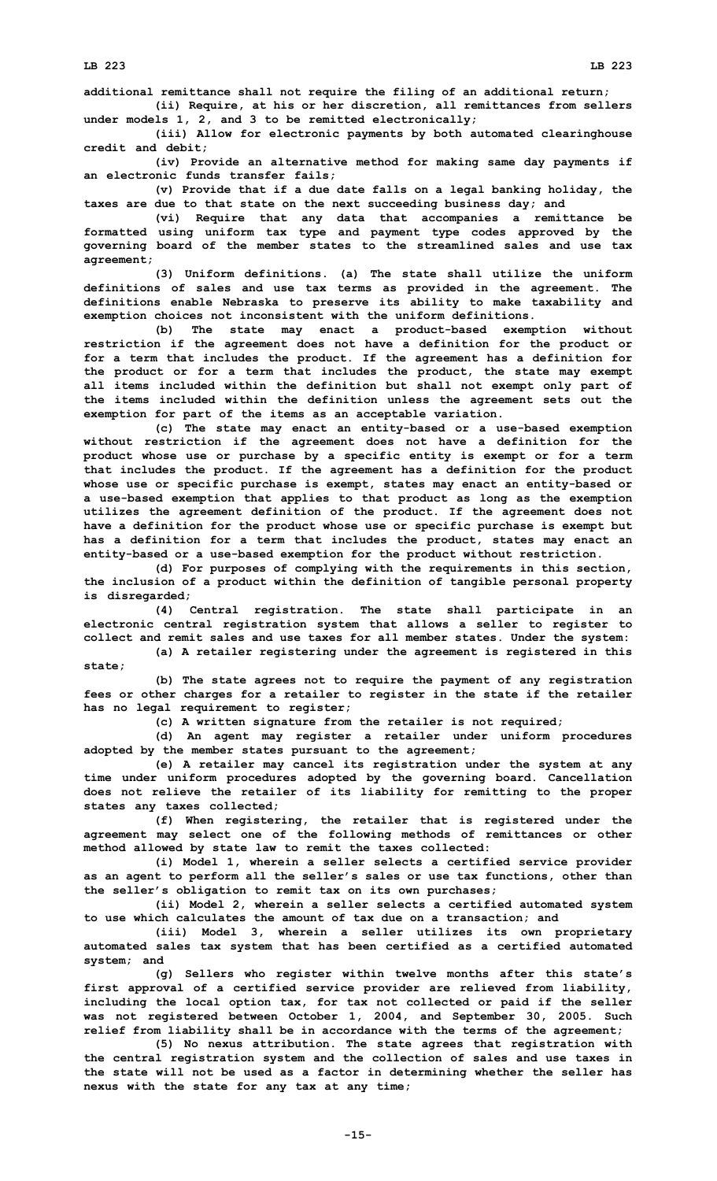**additional remittance shall not require the filing of an additional return;**

**(ii) Require, at his or her discretion, all remittances from sellers under models 1, 2, and 3 to be remitted electronically;**

**(iii) Allow for electronic payments by both automated clearinghouse credit and debit;**

**(iv) Provide an alternative method for making same day payments if an electronic funds transfer fails;**

**(v) Provide that if <sup>a</sup> due date falls on <sup>a</sup> legal banking holiday, the taxes are due to that state on the next succeeding business day; and**

**(vi) Require that any data that accompanies <sup>a</sup> remittance be formatted using uniform tax type and payment type codes approved by the governing board of the member states to the streamlined sales and use tax agreement;**

**(3) Uniform definitions. (a) The state shall utilize the uniform definitions of sales and use tax terms as provided in the agreement. The definitions enable Nebraska to preserve its ability to make taxability and exemption choices not inconsistent with the uniform definitions.**

**(b) The state may enact <sup>a</sup> product-based exemption without restriction if the agreement does not have <sup>a</sup> definition for the product or for <sup>a</sup> term that includes the product. If the agreement has <sup>a</sup> definition for the product or for <sup>a</sup> term that includes the product, the state may exempt all items included within the definition but shall not exempt only part of the items included within the definition unless the agreement sets out the exemption for part of the items as an acceptable variation.**

**(c) The state may enact an entity-based or <sup>a</sup> use-based exemption without restriction if the agreement does not have <sup>a</sup> definition for the product whose use or purchase by <sup>a</sup> specific entity is exempt or for <sup>a</sup> term that includes the product. If the agreement has <sup>a</sup> definition for the product whose use or specific purchase is exempt, states may enact an entity-based or <sup>a</sup> use-based exemption that applies to that product as long as the exemption utilizes the agreement definition of the product. If the agreement does not have <sup>a</sup> definition for the product whose use or specific purchase is exempt but has <sup>a</sup> definition for <sup>a</sup> term that includes the product, states may enact an entity-based or <sup>a</sup> use-based exemption for the product without restriction.**

**(d) For purposes of complying with the requirements in this section, the inclusion of <sup>a</sup> product within the definition of tangible personal property is disregarded;**

**(4) Central registration. The state shall participate in an electronic central registration system that allows <sup>a</sup> seller to register to collect and remit sales and use taxes for all member states. Under the system:**

**(a) <sup>A</sup> retailer registering under the agreement is registered in this state;**

**(b) The state agrees not to require the payment of any registration fees or other charges for <sup>a</sup> retailer to register in the state if the retailer has no legal requirement to register;**

**(c) <sup>A</sup> written signature from the retailer is not required;**

**(d) An agent may register <sup>a</sup> retailer under uniform procedures adopted by the member states pursuant to the agreement;**

**(e) <sup>A</sup> retailer may cancel its registration under the system at any time under uniform procedures adopted by the governing board. Cancellation does not relieve the retailer of its liability for remitting to the proper states any taxes collected;**

**(f) When registering, the retailer that is registered under the agreement may select one of the following methods of remittances or other method allowed by state law to remit the taxes collected:**

**(i) Model 1, wherein <sup>a</sup> seller selects <sup>a</sup> certified service provider as an agent to perform all the seller's sales or use tax functions, other than the seller's obligation to remit tax on its own purchases;**

**(ii) Model 2, wherein <sup>a</sup> seller selects <sup>a</sup> certified automated system to use which calculates the amount of tax due on <sup>a</sup> transaction; and**

**(iii) Model 3, wherein <sup>a</sup> seller utilizes its own proprietary automated sales tax system that has been certified as <sup>a</sup> certified automated system; and**

**(g) Sellers who register within twelve months after this state's first approval of <sup>a</sup> certified service provider are relieved from liability, including the local option tax, for tax not collected or paid if the seller was not registered between October 1, 2004, and September 30, 2005. Such relief from liability shall be in accordance with the terms of the agreement;**

**(5) No nexus attribution. The state agrees that registration with the central registration system and the collection of sales and use taxes in the state will not be used as <sup>a</sup> factor in determining whether the seller has nexus with the state for any tax at any time;**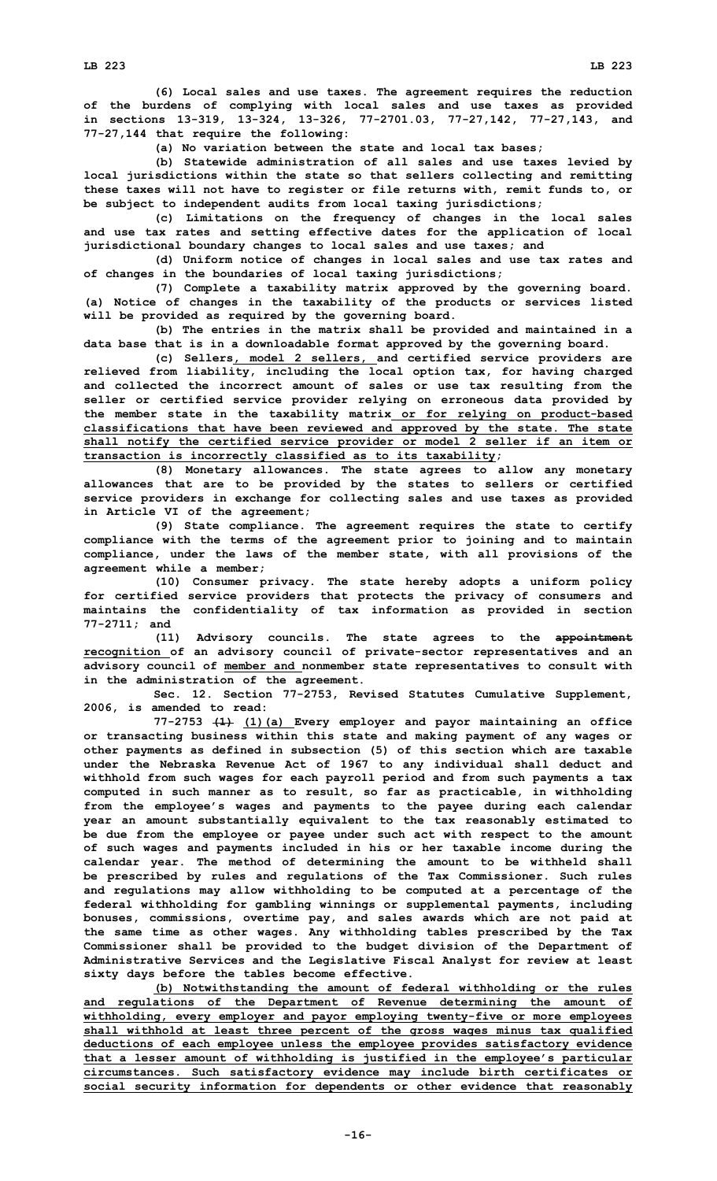**(6) Local sales and use taxes. The agreement requires the reduction of the burdens of complying with local sales and use taxes as provided in sections 13-319, 13-324, 13-326, 77-2701.03, 77-27,142, 77-27,143, and 77-27,144 that require the following:**

**(a) No variation between the state and local tax bases;**

**(b) Statewide administration of all sales and use taxes levied by local jurisdictions within the state so that sellers collecting and remitting these taxes will not have to register or file returns with, remit funds to, or be subject to independent audits from local taxing jurisdictions;**

**(c) Limitations on the frequency of changes in the local sales and use tax rates and setting effective dates for the application of local jurisdictional boundary changes to local sales and use taxes; and**

**(d) Uniform notice of changes in local sales and use tax rates and of changes in the boundaries of local taxing jurisdictions;**

**(7) Complete <sup>a</sup> taxability matrix approved by the governing board. (a) Notice of changes in the taxability of the products or services listed will be provided as required by the governing board.**

**(b) The entries in the matrix shall be provided and maintained in <sup>a</sup> data base that is in <sup>a</sup> downloadable format approved by the governing board.**

**(c) Sellers, model 2 sellers, and certified service providers are relieved from liability, including the local option tax, for having charged and collected the incorrect amount of sales or use tax resulting from the seller or certified service provider relying on erroneous data provided by the member state in the taxability matrix or for relying on product-based classifications that have been reviewed and approved by the state. The state shall notify the certified service provider or model 2 seller if an item or transaction is incorrectly classified as to its taxability;**

**(8) Monetary allowances. The state agrees to allow any monetary allowances that are to be provided by the states to sellers or certified service providers in exchange for collecting sales and use taxes as provided in Article VI of the agreement;**

**(9) State compliance. The agreement requires the state to certify compliance with the terms of the agreement prior to joining and to maintain compliance, under the laws of the member state, with all provisions of the agreement while <sup>a</sup> member;**

**(10) Consumer privacy. The state hereby adopts <sup>a</sup> uniform policy for certified service providers that protects the privacy of consumers and maintains the confidentiality of tax information as provided in section 77-2711; and**

**(11) Advisory councils. The state agrees to the appointment recognition of an advisory council of private-sector representatives and an advisory council of member and nonmember state representatives to consult with in the administration of the agreement.**

**Sec. 12. Section 77-2753, Revised Statutes Cumulative Supplement, 2006, is amended to read:**

**77-2753 (1) (1)(a) Every employer and payor maintaining an office or transacting business within this state and making payment of any wages or other payments as defined in subsection (5) of this section which are taxable under the Nebraska Revenue Act of 1967 to any individual shall deduct and withhold from such wages for each payroll period and from such payments <sup>a</sup> tax computed in such manner as to result, so far as practicable, in withholding from the employee's wages and payments to the payee during each calendar year an amount substantially equivalent to the tax reasonably estimated to be due from the employee or payee under such act with respect to the amount of such wages and payments included in his or her taxable income during the calendar year. The method of determining the amount to be withheld shall be prescribed by rules and regulations of the Tax Commissioner. Such rules and regulations may allow withholding to be computed at <sup>a</sup> percentage of the federal withholding for gambling winnings or supplemental payments, including bonuses, commissions, overtime pay, and sales awards which are not paid at the same time as other wages. Any withholding tables prescribed by the Tax Commissioner shall be provided to the budget division of the Department of Administrative Services and the Legislative Fiscal Analyst for review at least sixty days before the tables become effective.**

**(b) Notwithstanding the amount of federal withholding or the rules and regulations of the Department of Revenue determining the amount of withholding, every employer and payor employing twenty-five or more employees shall withhold at least three percent of the gross wages minus tax qualified deductions of each employee unless the employee provides satisfactory evidence that <sup>a</sup> lesser amount of withholding is justified in the employee's particular circumstances. Such satisfactory evidence may include birth certificates or social security information for dependents or other evidence that reasonably**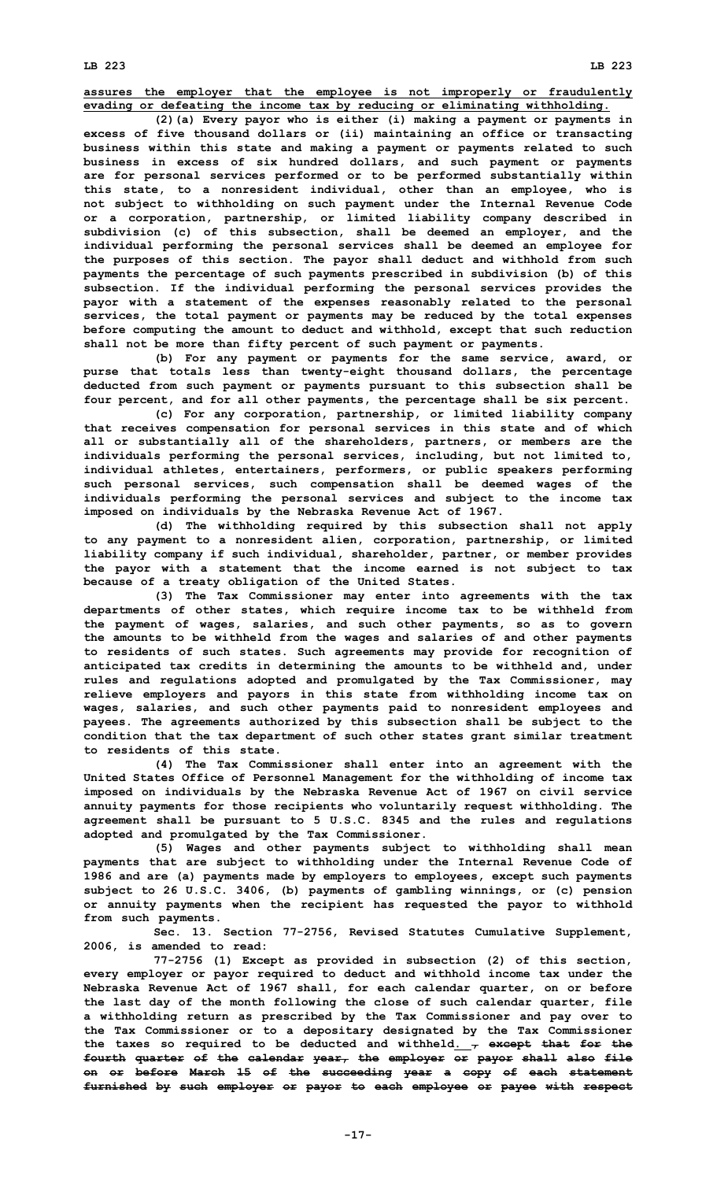**LB 223 LB 223**

**assures the employer that the employee is not improperly or fraudulently evading or defeating the income tax by reducing or eliminating withholding.**

**(2)(a) Every payor who is either (i) making <sup>a</sup> payment or payments in excess of five thousand dollars or (ii) maintaining an office or transacting business within this state and making <sup>a</sup> payment or payments related to such business in excess of six hundred dollars, and such payment or payments are for personal services performed or to be performed substantially within this state, to <sup>a</sup> nonresident individual, other than an employee, who is not subject to withholding on such payment under the Internal Revenue Code or <sup>a</sup> corporation, partnership, or limited liability company described in subdivision (c) of this subsection, shall be deemed an employer, and the individual performing the personal services shall be deemed an employee for the purposes of this section. The payor shall deduct and withhold from such payments the percentage of such payments prescribed in subdivision (b) of this subsection. If the individual performing the personal services provides the payor with <sup>a</sup> statement of the expenses reasonably related to the personal services, the total payment or payments may be reduced by the total expenses before computing the amount to deduct and withhold, except that such reduction shall not be more than fifty percent of such payment or payments.**

**(b) For any payment or payments for the same service, award, or purse that totals less than twenty-eight thousand dollars, the percentage deducted from such payment or payments pursuant to this subsection shall be four percent, and for all other payments, the percentage shall be six percent.**

**(c) For any corporation, partnership, or limited liability company that receives compensation for personal services in this state and of which all or substantially all of the shareholders, partners, or members are the individuals performing the personal services, including, but not limited to, individual athletes, entertainers, performers, or public speakers performing such personal services, such compensation shall be deemed wages of the individuals performing the personal services and subject to the income tax imposed on individuals by the Nebraska Revenue Act of 1967.**

**(d) The withholding required by this subsection shall not apply to any payment to <sup>a</sup> nonresident alien, corporation, partnership, or limited liability company if such individual, shareholder, partner, or member provides the payor with <sup>a</sup> statement that the income earned is not subject to tax because of <sup>a</sup> treaty obligation of the United States.**

**(3) The Tax Commissioner may enter into agreements with the tax departments of other states, which require income tax to be withheld from the payment of wages, salaries, and such other payments, so as to govern the amounts to be withheld from the wages and salaries of and other payments to residents of such states. Such agreements may provide for recognition of anticipated tax credits in determining the amounts to be withheld and, under rules and regulations adopted and promulgated by the Tax Commissioner, may relieve employers and payors in this state from withholding income tax on wages, salaries, and such other payments paid to nonresident employees and payees. The agreements authorized by this subsection shall be subject to the condition that the tax department of such other states grant similar treatment to residents of this state.**

**(4) The Tax Commissioner shall enter into an agreement with the United States Office of Personnel Management for the withholding of income tax imposed on individuals by the Nebraska Revenue Act of 1967 on civil service annuity payments for those recipients who voluntarily request withholding. The agreement shall be pursuant to 5 U.S.C. 8345 and the rules and regulations adopted and promulgated by the Tax Commissioner.**

**(5) Wages and other payments subject to withholding shall mean payments that are subject to withholding under the Internal Revenue Code of 1986 and are (a) payments made by employers to employees, except such payments subject to 26 U.S.C. 3406, (b) payments of gambling winnings, or (c) pension or annuity payments when the recipient has requested the payor to withhold from such payments.**

**Sec. 13. Section 77-2756, Revised Statutes Cumulative Supplement, 2006, is amended to read:**

**77-2756 (1) Except as provided in subsection (2) of this section, every employer or payor required to deduct and withhold income tax under the Nebraska Revenue Act of 1967 shall, for each calendar quarter, on or before the last day of the month following the close of such calendar quarter, file <sup>a</sup> withholding return as prescribed by the Tax Commissioner and pay over to the Tax Commissioner or to <sup>a</sup> depositary designated by the Tax Commissioner the taxes so required to be deducted and withheld. , except that for the fourth quarter of the calendar year, the employer or payor shall also file on or before March 15 of the succeeding year <sup>a</sup> copy of each statement furnished by such employer or payor to each employee or payee with respect**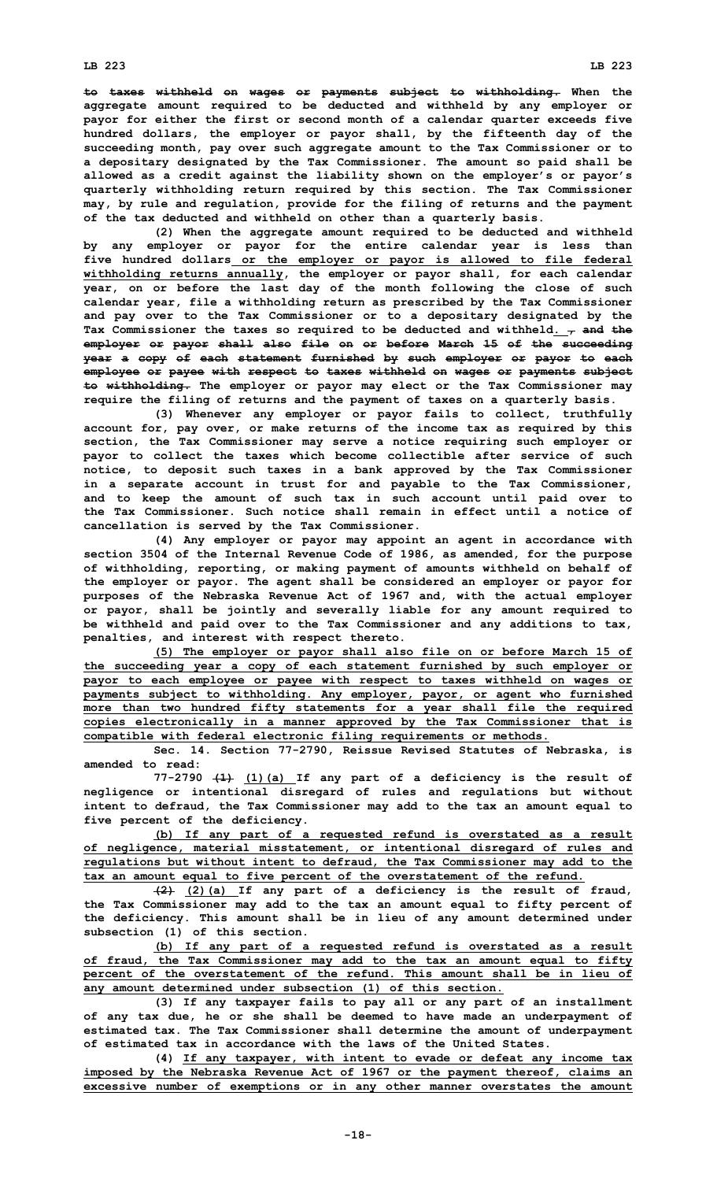**to taxes withheld on wages or payments subject to withholding. When the aggregate amount required to be deducted and withheld by any employer or payor for either the first or second month of <sup>a</sup> calendar quarter exceeds five hundred dollars, the employer or payor shall, by the fifteenth day of the succeeding month, pay over such aggregate amount to the Tax Commissioner or to <sup>a</sup> depositary designated by the Tax Commissioner. The amount so paid shall be allowed as <sup>a</sup> credit against the liability shown on the employer's or payor's quarterly withholding return required by this section. The Tax Commissioner may, by rule and regulation, provide for the filing of returns and the payment of the tax deducted and withheld on other than <sup>a</sup> quarterly basis.**

**(2) When the aggregate amount required to be deducted and withheld by any employer or payor for the entire calendar year is less than five hundred dollars or the employer or payor is allowed to file federal withholding returns annually, the employer or payor shall, for each calendar year, on or before the last day of the month following the close of such calendar year, file <sup>a</sup> withholding return as prescribed by the Tax Commissioner and pay over to the Tax Commissioner or to <sup>a</sup> depositary designated by the Tax Commissioner the taxes so required to be deducted and withheld. , and the employer or payor shall also file on or before March 15 of the succeeding year <sup>a</sup> copy of each statement furnished by such employer or payor to each employee or payee with respect to taxes withheld on wages or payments subject to withholding. The employer or payor may elect or the Tax Commissioner may require the filing of returns and the payment of taxes on <sup>a</sup> quarterly basis.**

**(3) Whenever any employer or payor fails to collect, truthfully account for, pay over, or make returns of the income tax as required by this section, the Tax Commissioner may serve <sup>a</sup> notice requiring such employer or payor to collect the taxes which become collectible after service of such notice, to deposit such taxes in <sup>a</sup> bank approved by the Tax Commissioner in <sup>a</sup> separate account in trust for and payable to the Tax Commissioner, and to keep the amount of such tax in such account until paid over to the Tax Commissioner. Such notice shall remain in effect until a notice of cancellation is served by the Tax Commissioner.**

**(4) Any employer or payor may appoint an agent in accordance with section 3504 of the Internal Revenue Code of 1986, as amended, for the purpose of withholding, reporting, or making payment of amounts withheld on behalf of the employer or payor. The agent shall be considered an employer or payor for purposes of the Nebraska Revenue Act of 1967 and, with the actual employer or payor, shall be jointly and severally liable for any amount required to be withheld and paid over to the Tax Commissioner and any additions to tax, penalties, and interest with respect thereto.**

**(5) The employer or payor shall also file on or before March 15 of the succeeding year <sup>a</sup> copy of each statement furnished by such employer or payor to each employee or payee with respect to taxes withheld on wages or payments subject to withholding. Any employer, payor, or agent who furnished more than two hundred fifty statements for <sup>a</sup> year shall file the required copies electronically in <sup>a</sup> manner approved by the Tax Commissioner that is compatible with federal electronic filing requirements or methods.**

**Sec. 14. Section 77-2790, Reissue Revised Statutes of Nebraska, is amended to read:**

**77-2790 (1) (1)(a) If any part of <sup>a</sup> deficiency is the result of negligence or intentional disregard of rules and regulations but without intent to defraud, the Tax Commissioner may add to the tax an amount equal to five percent of the deficiency.**

**(b) If any part of <sup>a</sup> requested refund is overstated as <sup>a</sup> result of negligence, material misstatement, or intentional disregard of rules and regulations but without intent to defraud, the Tax Commissioner may add to the tax an amount equal to five percent of the overstatement of the refund.**

**(2) (2)(a) If any part of <sup>a</sup> deficiency is the result of fraud, the Tax Commissioner may add to the tax an amount equal to fifty percent of the deficiency. This amount shall be in lieu of any amount determined under subsection (1) of this section.**

**(b) If any part of <sup>a</sup> requested refund is overstated as <sup>a</sup> result of fraud, the Tax Commissioner may add to the tax an amount equal to fifty percent of the overstatement of the refund. This amount shall be in lieu of any amount determined under subsection (1) of this section.**

**(3) If any taxpayer fails to pay all or any part of an installment of any tax due, he or she shall be deemed to have made an underpayment of estimated tax. The Tax Commissioner shall determine the amount of underpayment of estimated tax in accordance with the laws of the United States.**

**(4) If any taxpayer, with intent to evade or defeat any income tax imposed by the Nebraska Revenue Act of 1967 or the payment thereof, claims an excessive number of exemptions or in any other manner overstates the amount**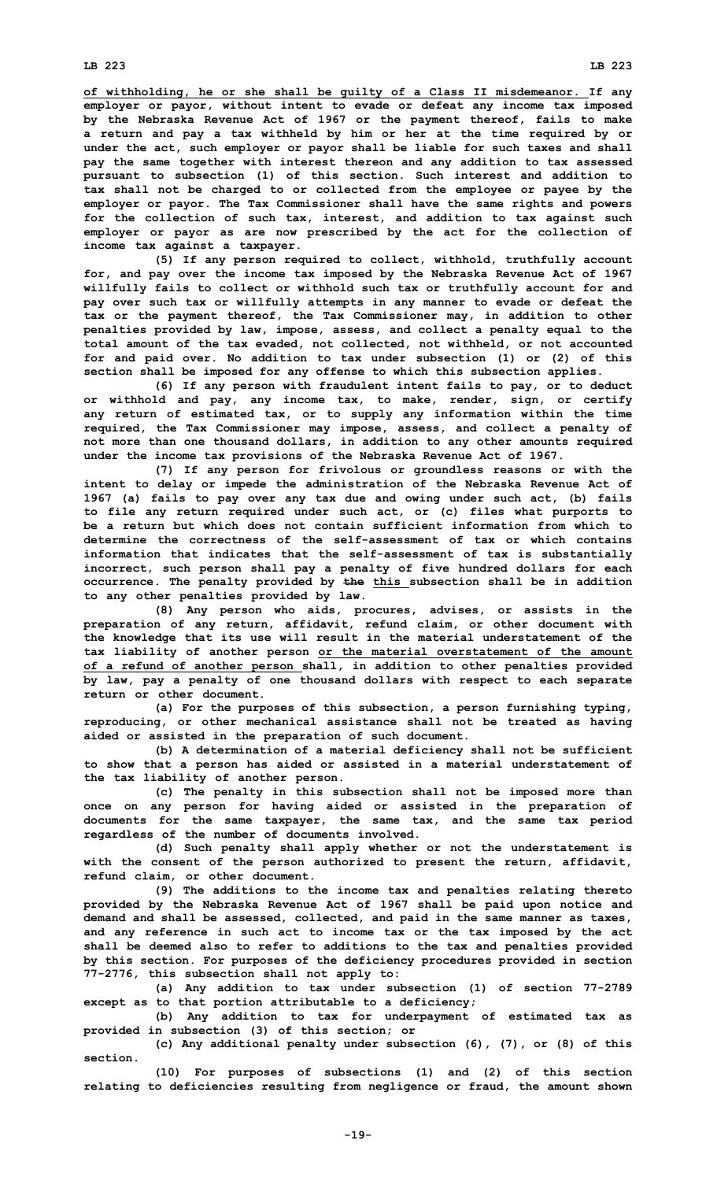**of withholding, he or she shall be guilty of <sup>a</sup> Class II misdemeanor. If any employer or payor, without intent to evade or defeat any income tax imposed by the Nebraska Revenue Act of 1967 or the payment thereof, fails to make <sup>a</sup> return and pay <sup>a</sup> tax withheld by him or her at the time required by or under the act, such employer or payor shall be liable for such taxes and shall pay the same together with interest thereon and any addition to tax assessed pursuant to subsection (1) of this section. Such interest and addition to tax shall not be charged to or collected from the employee or payee by the employer or payor. The Tax Commissioner shall have the same rights and powers for the collection of such tax, interest, and addition to tax against such employer or payor as are now prescribed by the act for the collection of income tax against <sup>a</sup> taxpayer.**

**(5) If any person required to collect, withhold, truthfully account for, and pay over the income tax imposed by the Nebraska Revenue Act of 1967 willfully fails to collect or withhold such tax or truthfully account for and pay over such tax or willfully attempts in any manner to evade or defeat the tax or the payment thereof, the Tax Commissioner may, in addition to other penalties provided by law, impose, assess, and collect <sup>a</sup> penalty equal to the total amount of the tax evaded, not collected, not withheld, or not accounted for and paid over. No addition to tax under subsection (1) or (2) of this section shall be imposed for any offense to which this subsection applies.**

**(6) If any person with fraudulent intent fails to pay, or to deduct or withhold and pay, any income tax, to make, render, sign, or certify any return of estimated tax, or to supply any information within the time required, the Tax Commissioner may impose, assess, and collect <sup>a</sup> penalty of not more than one thousand dollars, in addition to any other amounts required under the income tax provisions of the Nebraska Revenue Act of 1967.**

**(7) If any person for frivolous or groundless reasons or with the intent to delay or impede the administration of the Nebraska Revenue Act of 1967 (a) fails to pay over any tax due and owing under such act, (b) fails to file any return required under such act, or (c) files what purports to be a return but which does not contain sufficient information from which to determine the correctness of the self-assessment of tax or which contains information that indicates that the self-assessment of tax is substantially incorrect, such person shall pay <sup>a</sup> penalty of five hundred dollars for each occurrence. The penalty provided by the this subsection shall be in addition to any other penalties provided by law.**

**(8) Any person who aids, procures, advises, or assists in the preparation of any return, affidavit, refund claim, or other document with the knowledge that its use will result in the material understatement of the tax liability of another person or the material overstatement of the amount of <sup>a</sup> refund of another person shall, in addition to other penalties provided by law, pay <sup>a</sup> penalty of one thousand dollars with respect to each separate return or other document.**

**(a) For the purposes of this subsection, <sup>a</sup> person furnishing typing, reproducing, or other mechanical assistance shall not be treated as having aided or assisted in the preparation of such document.**

**(b) <sup>A</sup> determination of <sup>a</sup> material deficiency shall not be sufficient to show that <sup>a</sup> person has aided or assisted in <sup>a</sup> material understatement of the tax liability of another person.**

**(c) The penalty in this subsection shall not be imposed more than once on any person for having aided or assisted in the preparation of documents for the same taxpayer, the same tax, and the same tax period regardless of the number of documents involved.**

**(d) Such penalty shall apply whether or not the understatement is with the consent of the person authorized to present the return, affidavit, refund claim, or other document.**

**(9) The additions to the income tax and penalties relating thereto provided by the Nebraska Revenue Act of 1967 shall be paid upon notice and demand and shall be assessed, collected, and paid in the same manner as taxes, and any reference in such act to income tax or the tax imposed by the act shall be deemed also to refer to additions to the tax and penalties provided by this section. For purposes of the deficiency procedures provided in section 77-2776, this subsection shall not apply to:**

**(a) Any addition to tax under subsection (1) of section 77-2789 except as to that portion attributable to <sup>a</sup> deficiency;**

**(b) Any addition to tax for underpayment of estimated tax as provided in subsection (3) of this section; or**

**(c) Any additional penalty under subsection (6), (7), or (8) of this section.**

**(10) For purposes of subsections (1) and (2) of this section relating to deficiencies resulting from negligence or fraud, the amount shown**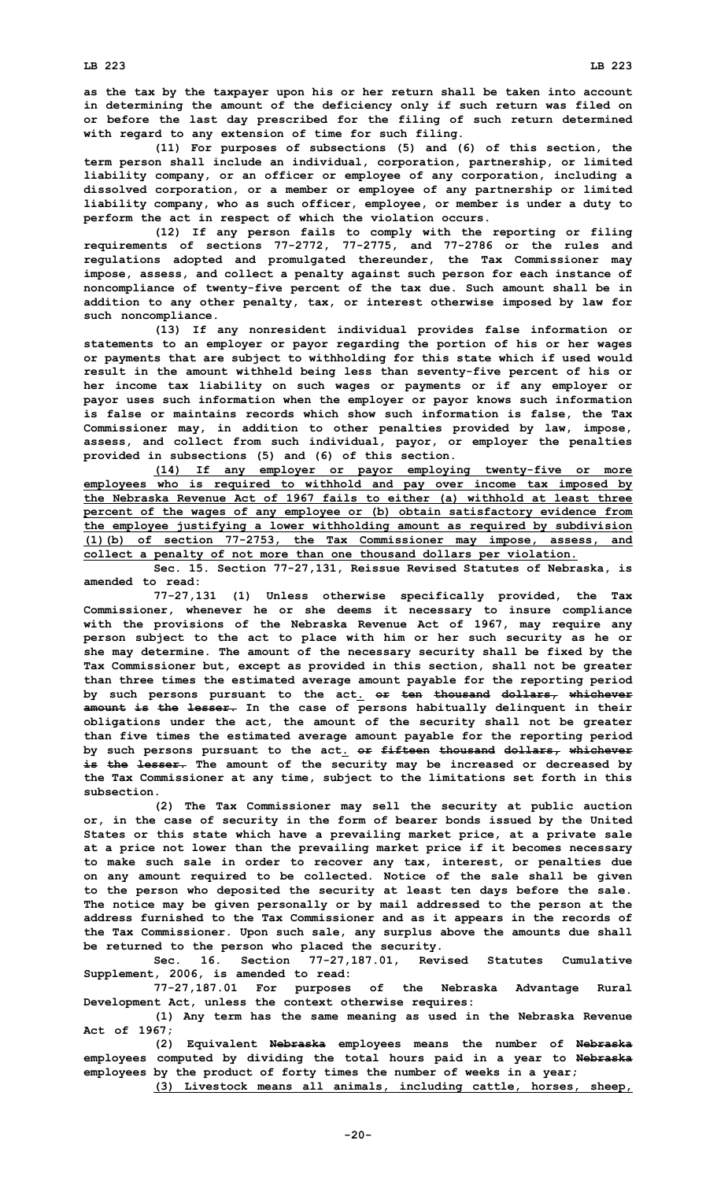**(11) For purposes of subsections (5) and (6) of this section, the term person shall include an individual, corporation, partnership, or limited liability company, or an officer or employee of any corporation, including <sup>a</sup> dissolved corporation, or <sup>a</sup> member or employee of any partnership or limited liability company, who as such officer, employee, or member is under <sup>a</sup> duty to perform the act in respect of which the violation occurs.**

**(12) If any person fails to comply with the reporting or filing requirements of sections 77-2772, 77-2775, and 77-2786 or the rules and regulations adopted and promulgated thereunder, the Tax Commissioner may impose, assess, and collect <sup>a</sup> penalty against such person for each instance of noncompliance of twenty-five percent of the tax due. Such amount shall be in addition to any other penalty, tax, or interest otherwise imposed by law for such noncompliance.**

**(13) If any nonresident individual provides false information or statements to an employer or payor regarding the portion of his or her wages or payments that are subject to withholding for this state which if used would result in the amount withheld being less than seventy-five percent of his or her income tax liability on such wages or payments or if any employer or payor uses such information when the employer or payor knows such information is false or maintains records which show such information is false, the Tax Commissioner may, in addition to other penalties provided by law, impose, assess, and collect from such individual, payor, or employer the penalties provided in subsections (5) and (6) of this section.**

**(14) If any employer or payor employing twenty-five or more employees who is required to withhold and pay over income tax imposed by the Nebraska Revenue Act of 1967 fails to either (a) withhold at least three percent of the wages of any employee or (b) obtain satisfactory evidence from the employee justifying <sup>a</sup> lower withholding amount as required by subdivision (1)(b) of section 77-2753, the Tax Commissioner may impose, assess, and collect <sup>a</sup> penalty of not more than one thousand dollars per violation.**

**Sec. 15. Section 77-27,131, Reissue Revised Statutes of Nebraska, is amended to read:**

**77-27,131 (1) Unless otherwise specifically provided, the Tax Commissioner, whenever he or she deems it necessary to insure compliance with the provisions of the Nebraska Revenue Act of 1967, may require any person subject to the act to place with him or her such security as he or she may determine. The amount of the necessary security shall be fixed by the Tax Commissioner but, except as provided in this section, shall not be greater than three times the estimated average amount payable for the reporting period by such persons pursuant to the act. or ten thousand dollars, whichever amount is the lesser. In the case of persons habitually delinquent in their obligations under the act, the amount of the security shall not be greater than five times the estimated average amount payable for the reporting period by such persons pursuant to the act. or fifteen thousand dollars, whichever is the lesser. The amount of the security may be increased or decreased by the Tax Commissioner at any time, subject to the limitations set forth in this subsection.**

**(2) The Tax Commissioner may sell the security at public auction or, in the case of security in the form of bearer bonds issued by the United States or this state which have <sup>a</sup> prevailing market price, at <sup>a</sup> private sale at <sup>a</sup> price not lower than the prevailing market price if it becomes necessary to make such sale in order to recover any tax, interest, or penalties due on any amount required to be collected. Notice of the sale shall be given to the person who deposited the security at least ten days before the sale. The notice may be given personally or by mail addressed to the person at the address furnished to the Tax Commissioner and as it appears in the records of the Tax Commissioner. Upon such sale, any surplus above the amounts due shall be returned to the person who placed the security.**

**Sec. 16. Section 77-27,187.01, Revised Statutes Cumulative Supplement, 2006, is amended to read:**

**77-27,187.01 For purposes of the Nebraska Advantage Rural Development Act, unless the context otherwise requires:**

**(1) Any term has the same meaning as used in the Nebraska Revenue Act of 1967;**

**(2) Equivalent Nebraska employees means the number of Nebraska employees computed by dividing the total hours paid in <sup>a</sup> year to Nebraska employees by the product of forty times the number of weeks in <sup>a</sup> year;**

**(3) Livestock means all animals, including cattle, horses, sheep,**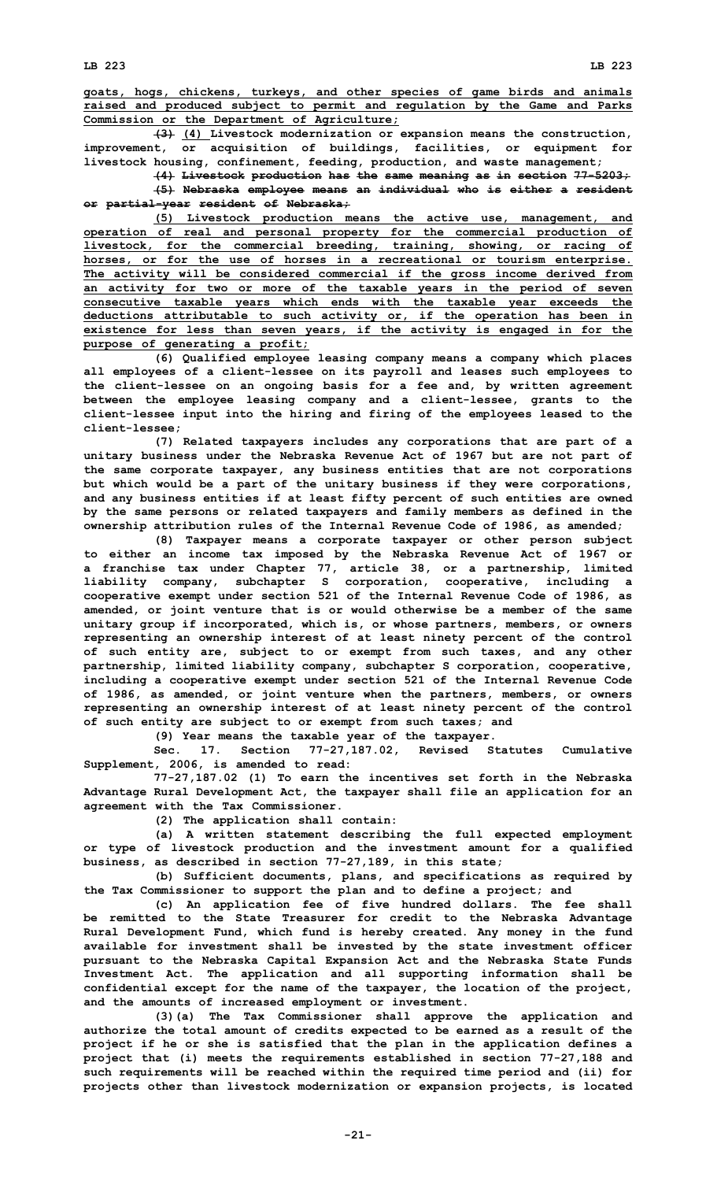**(3) (4) Livestock modernization or expansion means the construction, improvement, or acquisition of buildings, facilities, or equipment for livestock housing, confinement, feeding, production, and waste management;**

**(4) Livestock production has the same meaning as in section 77-5203; (5) Nebraska employee means an individual who is either <sup>a</sup> resident or partial-year resident of Nebraska;**

**(5) Livestock production means the active use, management, and operation of real and personal property for the commercial production of livestock, for the commercial breeding, training, showing, or racing of horses, or for the use of horses in <sup>a</sup> recreational or tourism enterprise. The activity will be considered commercial if the gross income derived from an activity for two or more of the taxable years in the period of seven consecutive taxable years which ends with the taxable year exceeds the deductions attributable to such activity or, if the operation has been in existence for less than seven years, if the activity is engaged in for the purpose of generating <sup>a</sup> profit;**

**(6) Qualified employee leasing company means <sup>a</sup> company which places all employees of <sup>a</sup> client-lessee on its payroll and leases such employees to the client-lessee on an ongoing basis for <sup>a</sup> fee and, by written agreement between the employee leasing company and <sup>a</sup> client-lessee, grants to the client-lessee input into the hiring and firing of the employees leased to the client-lessee;**

**(7) Related taxpayers includes any corporations that are part of <sup>a</sup> unitary business under the Nebraska Revenue Act of 1967 but are not part of the same corporate taxpayer, any business entities that are not corporations but which would be <sup>a</sup> part of the unitary business if they were corporations, and any business entities if at least fifty percent of such entities are owned by the same persons or related taxpayers and family members as defined in the ownership attribution rules of the Internal Revenue Code of 1986, as amended;**

**(8) Taxpayer means <sup>a</sup> corporate taxpayer or other person subject to either an income tax imposed by the Nebraska Revenue Act of 1967 or <sup>a</sup> franchise tax under Chapter 77, article 38, or <sup>a</sup> partnership, limited liability company, subchapter S corporation, cooperative, including <sup>a</sup> cooperative exempt under section 521 of the Internal Revenue Code of 1986, as amended, or joint venture that is or would otherwise be <sup>a</sup> member of the same unitary group if incorporated, which is, or whose partners, members, or owners representing an ownership interest of at least ninety percent of the control of such entity are, subject to or exempt from such taxes, and any other partnership, limited liability company, subchapter S corporation, cooperative, including <sup>a</sup> cooperative exempt under section 521 of the Internal Revenue Code of 1986, as amended, or joint venture when the partners, members, or owners representing an ownership interest of at least ninety percent of the control of such entity are subject to or exempt from such taxes; and**

**(9) Year means the taxable year of the taxpayer.**

**Sec. 17. Section 77-27,187.02, Revised Statutes Cumulative Supplement, 2006, is amended to read:**

**77-27,187.02 (1) To earn the incentives set forth in the Nebraska Advantage Rural Development Act, the taxpayer shall file an application for an agreement with the Tax Commissioner.**

**(2) The application shall contain:**

**(a) <sup>A</sup> written statement describing the full expected employment or type of livestock production and the investment amount for <sup>a</sup> qualified business, as described in section 77-27,189, in this state;**

**(b) Sufficient documents, plans, and specifications as required by the Tax Commissioner to support the plan and to define <sup>a</sup> project; and**

**(c) An application fee of five hundred dollars. The fee shall be remitted to the State Treasurer for credit to the Nebraska Advantage Rural Development Fund, which fund is hereby created. Any money in the fund available for investment shall be invested by the state investment officer pursuant to the Nebraska Capital Expansion Act and the Nebraska State Funds Investment Act. The application and all supporting information shall be confidential except for the name of the taxpayer, the location of the project, and the amounts of increased employment or investment.**

**(3)(a) The Tax Commissioner shall approve the application and authorize the total amount of credits expected to be earned as <sup>a</sup> result of the project if he or she is satisfied that the plan in the application defines <sup>a</sup> project that (i) meets the requirements established in section 77-27,188 and such requirements will be reached within the required time period and (ii) for projects other than livestock modernization or expansion projects, is located**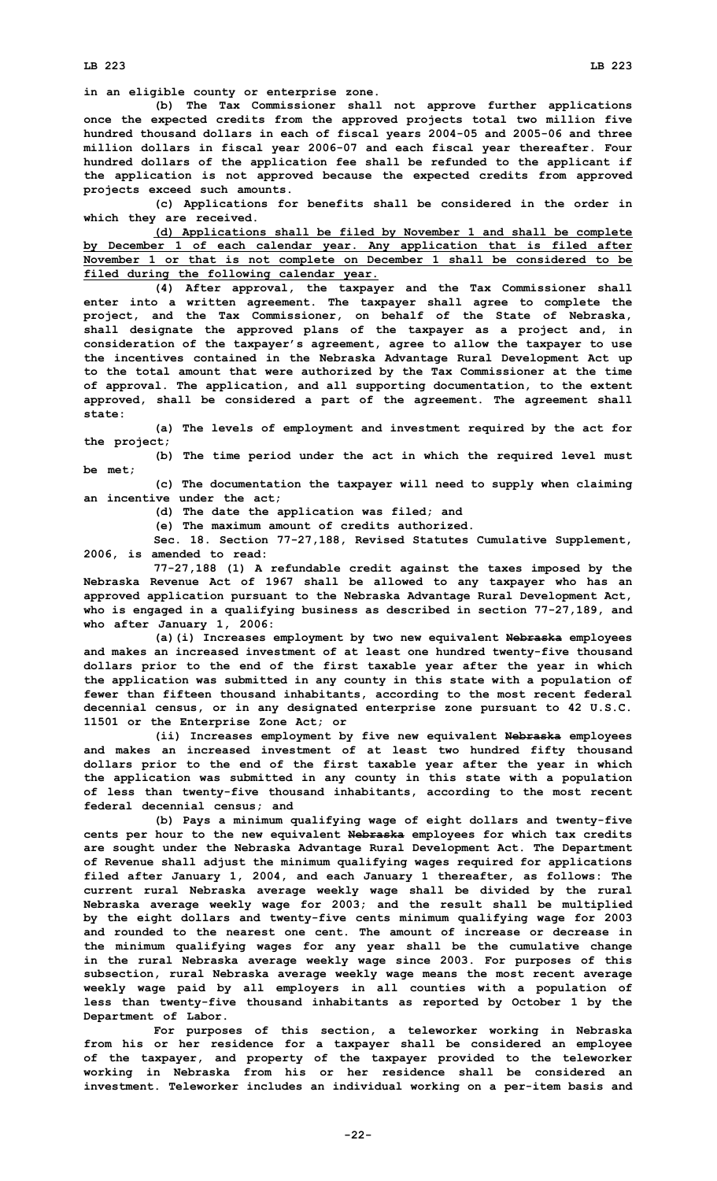**(b) The Tax Commissioner shall not approve further applications once the expected credits from the approved projects total two million five hundred thousand dollars in each of fiscal years 2004-05 and 2005-06 and three million dollars in fiscal year 2006-07 and each fiscal year thereafter. Four hundred dollars of the application fee shall be refunded to the applicant if the application is not approved because the expected credits from approved projects exceed such amounts.**

**(c) Applications for benefits shall be considered in the order in which they are received.**

**(d) Applications shall be filed by November 1 and shall be complete by December 1 of each calendar year. Any application that is filed after November 1 or that is not complete on December 1 shall be considered to be filed during the following calendar year.**

**(4) After approval, the taxpayer and the Tax Commissioner shall enter into <sup>a</sup> written agreement. The taxpayer shall agree to complete the project, and the Tax Commissioner, on behalf of the State of Nebraska, shall designate the approved plans of the taxpayer as <sup>a</sup> project and, in consideration of the taxpayer's agreement, agree to allow the taxpayer to use the incentives contained in the Nebraska Advantage Rural Development Act up to the total amount that were authorized by the Tax Commissioner at the time of approval. The application, and all supporting documentation, to the extent approved, shall be considered <sup>a</sup> part of the agreement. The agreement shall state:**

**(a) The levels of employment and investment required by the act for the project;**

**(b) The time period under the act in which the required level must be met;**

**(c) The documentation the taxpayer will need to supply when claiming an incentive under the act;**

**(d) The date the application was filed; and**

**(e) The maximum amount of credits authorized.**

**Sec. 18. Section 77-27,188, Revised Statutes Cumulative Supplement, 2006, is amended to read:**

**77-27,188 (1) <sup>A</sup> refundable credit against the taxes imposed by the Nebraska Revenue Act of 1967 shall be allowed to any taxpayer who has an approved application pursuant to the Nebraska Advantage Rural Development Act, who is engaged in <sup>a</sup> qualifying business as described in section 77-27,189, and who after January 1, 2006:**

**(a)(i) Increases employment by two new equivalent Nebraska employees and makes an increased investment of at least one hundred twenty-five thousand dollars prior to the end of the first taxable year after the year in which the application was submitted in any county in this state with <sup>a</sup> population of fewer than fifteen thousand inhabitants, according to the most recent federal decennial census, or in any designated enterprise zone pursuant to 42 U.S.C. 11501 or the Enterprise Zone Act; or**

**(ii) Increases employment by five new equivalent Nebraska employees and makes an increased investment of at least two hundred fifty thousand dollars prior to the end of the first taxable year after the year in which the application was submitted in any county in this state with <sup>a</sup> population of less than twenty-five thousand inhabitants, according to the most recent federal decennial census; and**

**(b) Pays <sup>a</sup> minimum qualifying wage of eight dollars and twenty-five cents per hour to the new equivalent Nebraska employees for which tax credits are sought under the Nebraska Advantage Rural Development Act. The Department of Revenue shall adjust the minimum qualifying wages required for applications filed after January 1, 2004, and each January 1 thereafter, as follows: The current rural Nebraska average weekly wage shall be divided by the rural Nebraska average weekly wage for 2003; and the result shall be multiplied by the eight dollars and twenty-five cents minimum qualifying wage for 2003 and rounded to the nearest one cent. The amount of increase or decrease in the minimum qualifying wages for any year shall be the cumulative change in the rural Nebraska average weekly wage since 2003. For purposes of this subsection, rural Nebraska average weekly wage means the most recent average weekly wage paid by all employers in all counties with <sup>a</sup> population of less than twenty-five thousand inhabitants as reported by October 1 by the Department of Labor.**

**For purposes of this section, <sup>a</sup> teleworker working in Nebraska from his or her residence for <sup>a</sup> taxpayer shall be considered an employee of the taxpayer, and property of the taxpayer provided to the teleworker working in Nebraska from his or her residence shall be considered an investment. Teleworker includes an individual working on <sup>a</sup> per-item basis and**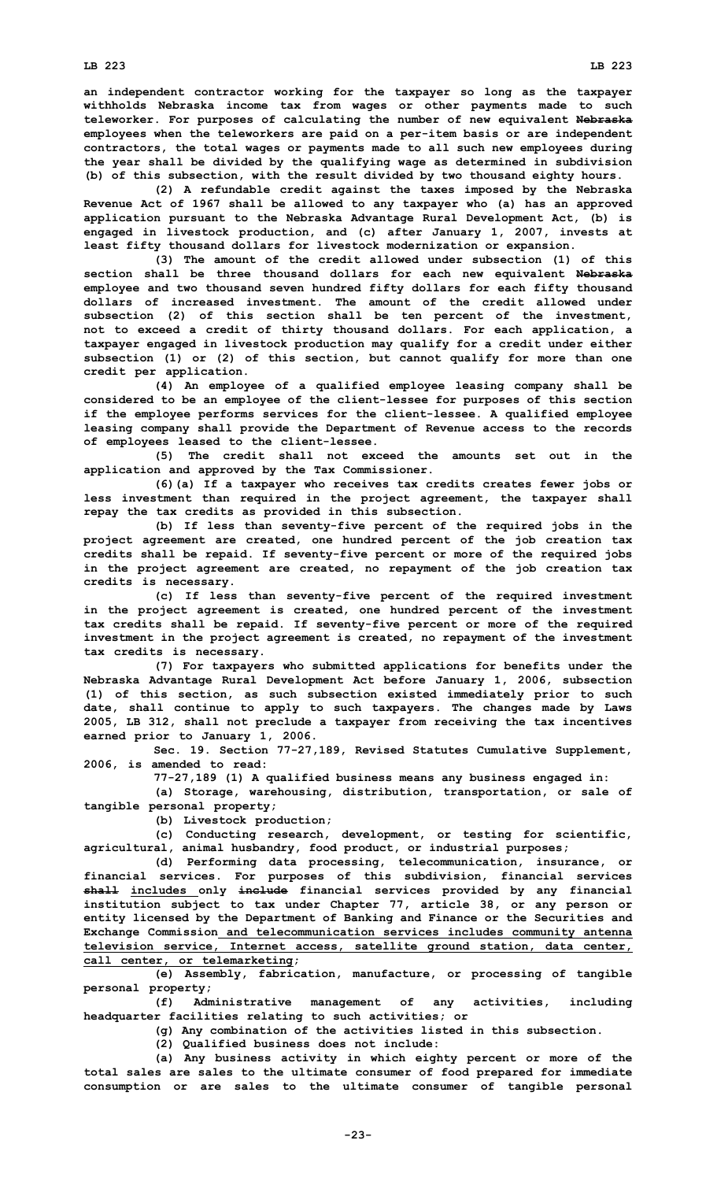**LB 223 LB 223**

**an independent contractor working for the taxpayer so long as the taxpayer withholds Nebraska income tax from wages or other payments made to such teleworker. For purposes of calculating the number of new equivalent Nebraska employees when the teleworkers are paid on <sup>a</sup> per-item basis or are independent contractors, the total wages or payments made to all such new employees during the year shall be divided by the qualifying wage as determined in subdivision (b) of this subsection, with the result divided by two thousand eighty hours.**

**(2) <sup>A</sup> refundable credit against the taxes imposed by the Nebraska Revenue Act of 1967 shall be allowed to any taxpayer who (a) has an approved application pursuant to the Nebraska Advantage Rural Development Act, (b) is engaged in livestock production, and (c) after January 1, 2007, invests at least fifty thousand dollars for livestock modernization or expansion.**

**(3) The amount of the credit allowed under subsection (1) of this section shall be three thousand dollars for each new equivalent Nebraska employee and two thousand seven hundred fifty dollars for each fifty thousand dollars of increased investment. The amount of the credit allowed under subsection (2) of this section shall be ten percent of the investment, not to exceed <sup>a</sup> credit of thirty thousand dollars. For each application, <sup>a</sup> taxpayer engaged in livestock production may qualify for <sup>a</sup> credit under either subsection (1) or (2) of this section, but cannot qualify for more than one credit per application.**

**(4) An employee of <sup>a</sup> qualified employee leasing company shall be considered to be an employee of the client-lessee for purposes of this section if the employee performs services for the client-lessee. A qualified employee leasing company shall provide the Department of Revenue access to the records of employees leased to the client-lessee.**

**(5) The credit shall not exceed the amounts set out in the application and approved by the Tax Commissioner.**

**(6)(a) If <sup>a</sup> taxpayer who receives tax credits creates fewer jobs or less investment than required in the project agreement, the taxpayer shall repay the tax credits as provided in this subsection.**

**(b) If less than seventy-five percent of the required jobs in the project agreement are created, one hundred percent of the job creation tax credits shall be repaid. If seventy-five percent or more of the required jobs in the project agreement are created, no repayment of the job creation tax credits is necessary.**

**(c) If less than seventy-five percent of the required investment in the project agreement is created, one hundred percent of the investment tax credits shall be repaid. If seventy-five percent or more of the required investment in the project agreement is created, no repayment of the investment tax credits is necessary.**

**(7) For taxpayers who submitted applications for benefits under the Nebraska Advantage Rural Development Act before January 1, 2006, subsection (1) of this section, as such subsection existed immediately prior to such date, shall continue to apply to such taxpayers. The changes made by Laws 2005, LB 312, shall not preclude <sup>a</sup> taxpayer from receiving the tax incentives earned prior to January 1, 2006.**

**Sec. 19. Section 77-27,189, Revised Statutes Cumulative Supplement, 2006, is amended to read:**

**77-27,189 (1) <sup>A</sup> qualified business means any business engaged in:**

**(a) Storage, warehousing, distribution, transportation, or sale of tangible personal property;**

**(b) Livestock production;**

**(c) Conducting research, development, or testing for scientific, agricultural, animal husbandry, food product, or industrial purposes;**

**(d) Performing data processing, telecommunication, insurance, or financial services. For purposes of this subdivision, financial services shall includes only include financial services provided by any financial institution subject to tax under Chapter 77, article 38, or any person or entity licensed by the Department of Banking and Finance or the Securities and Exchange Commission and telecommunication services includes community antenna television service, Internet access, satellite ground station, data center, call center, or telemarketing;**

**(e) Assembly, fabrication, manufacture, or processing of tangible personal property;**

**(f) Administrative management of any activities, including headquarter facilities relating to such activities; or**

**(g) Any combination of the activities listed in this subsection.**

**(2) Qualified business does not include:**

**(a) Any business activity in which eighty percent or more of the total sales are sales to the ultimate consumer of food prepared for immediate consumption or are sales to the ultimate consumer of tangible personal**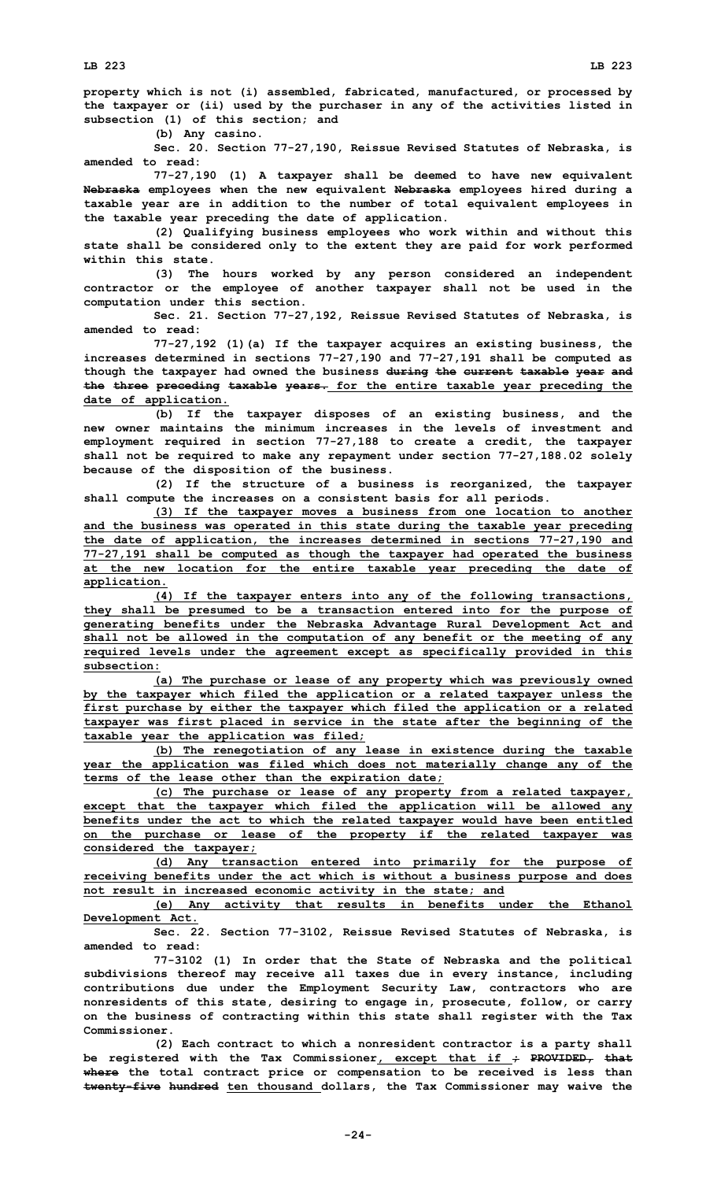**property which is not (i) assembled, fabricated, manufactured, or processed by the taxpayer or (ii) used by the purchaser in any of the activities listed in subsection (1) of this section; and**

**(b) Any casino.**

**Sec. 20. Section 77-27,190, Reissue Revised Statutes of Nebraska, is amended to read:**

**77-27,190 (1) <sup>A</sup> taxpayer shall be deemed to have new equivalent Nebraska employees when the new equivalent Nebraska employees hired during <sup>a</sup> taxable year are in addition to the number of total equivalent employees in the taxable year preceding the date of application.**

**(2) Qualifying business employees who work within and without this state shall be considered only to the extent they are paid for work performed within this state.**

**(3) The hours worked by any person considered an independent contractor or the employee of another taxpayer shall not be used in the computation under this section.**

**Sec. 21. Section 77-27,192, Reissue Revised Statutes of Nebraska, is amended to read:**

**77-27,192 (1)(a) If the taxpayer acquires an existing business, the increases determined in sections 77-27,190 and 77-27,191 shall be computed as though the taxpayer had owned the business during the current taxable year and the three preceding taxable years. for the entire taxable year preceding the date of application.**

**(b) If the taxpayer disposes of an existing business, and the new owner maintains the minimum increases in the levels of investment and employment required in section 77-27,188 to create <sup>a</sup> credit, the taxpayer shall not be required to make any repayment under section 77-27,188.02 solely because of the disposition of the business.**

**(2) If the structure of <sup>a</sup> business is reorganized, the taxpayer shall compute the increases on <sup>a</sup> consistent basis for all periods.**

**(3) If the taxpayer moves <sup>a</sup> business from one location to another and the business was operated in this state during the taxable year preceding the date of application, the increases determined in sections 77-27,190 and 77-27,191 shall be computed as though the taxpayer had operated the business at the new location for the entire taxable year preceding the date of application.**

**(4) If the taxpayer enters into any of the following transactions, they shall be presumed to be <sup>a</sup> transaction entered into for the purpose of generating benefits under the Nebraska Advantage Rural Development Act and shall not be allowed in the computation of any benefit or the meeting of any required levels under the agreement except as specifically provided in this subsection:**

**(a) The purchase or lease of any property which was previously owned by the taxpayer which filed the application or <sup>a</sup> related taxpayer unless the first purchase by either the taxpayer which filed the application or <sup>a</sup> related taxpayer was first placed in service in the state after the beginning of the taxable year the application was filed;**

**(b) The renegotiation of any lease in existence during the taxable year the application was filed which does not materially change any of the terms of the lease other than the expiration date;**

**(c) The purchase or lease of any property from <sup>a</sup> related taxpayer, except that the taxpayer which filed the application will be allowed any benefits under the act to which the related taxpayer would have been entitled on the purchase or lease of the property if the related taxpayer was considered the taxpayer;**

**(d) Any transaction entered into primarily for the purpose of receiving benefits under the act which is without <sup>a</sup> business purpose and does not result in increased economic activity in the state; and**

**(e) Any activity that results in benefits under the Ethanol Development Act.**

**Sec. 22. Section 77-3102, Reissue Revised Statutes of Nebraska, is amended to read:**

**77-3102 (1) In order that the State of Nebraska and the political subdivisions thereof may receive all taxes due in every instance, including contributions due under the Employment Security Law, contractors who are nonresidents of this state, desiring to engage in, prosecute, follow, or carry on the business of contracting within this state shall register with the Tax Commissioner.**

**(2) Each contract to which <sup>a</sup> nonresident contractor is <sup>a</sup> party shall be registered with the Tax Commissioner, except that if ; PROVIDED, that where the total contract price or compensation to be received is less than twenty-five hundred ten thousand dollars, the Tax Commissioner may waive the**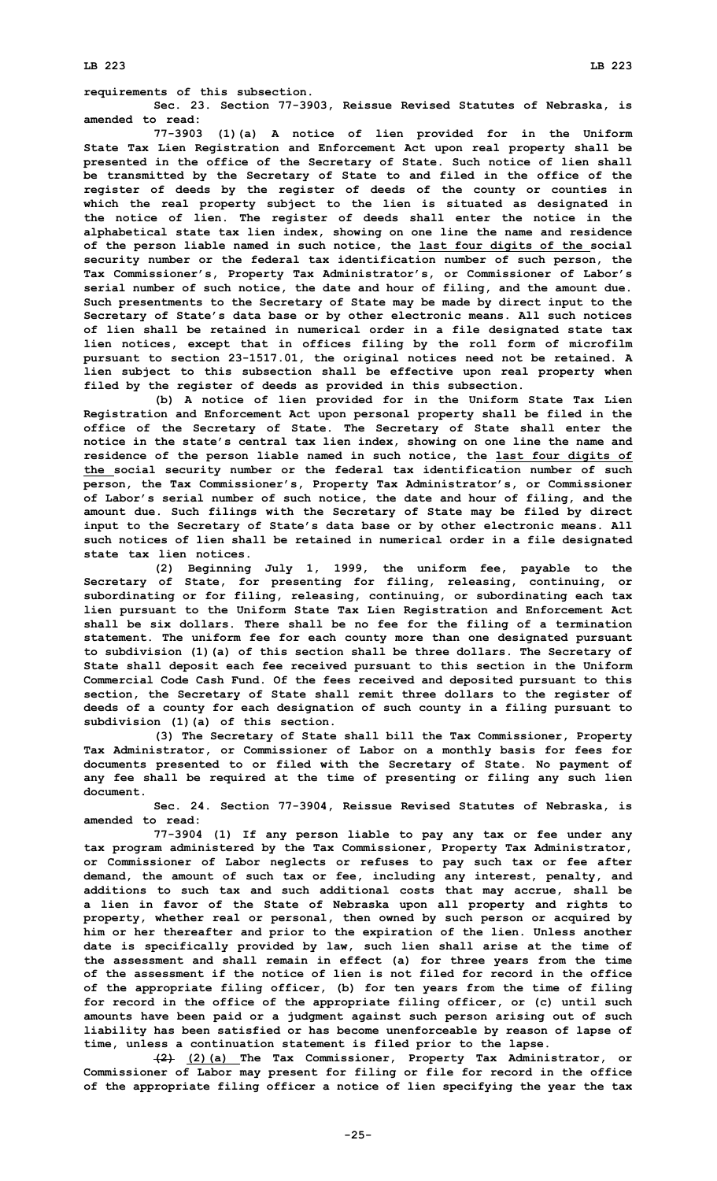**requirements of this subsection.**

**Sec. 23. Section 77-3903, Reissue Revised Statutes of Nebraska, is amended to read:**

**77-3903 (1)(a) <sup>A</sup> notice of lien provided for in the Uniform State Tax Lien Registration and Enforcement Act upon real property shall be presented in the office of the Secretary of State. Such notice of lien shall be transmitted by the Secretary of State to and filed in the office of the register of deeds by the register of deeds of the county or counties in which the real property subject to the lien is situated as designated in the notice of lien. The register of deeds shall enter the notice in the alphabetical state tax lien index, showing on one line the name and residence of the person liable named in such notice, the last four digits of the social security number or the federal tax identification number of such person, the Tax Commissioner's, Property Tax Administrator's, or Commissioner of Labor's serial number of such notice, the date and hour of filing, and the amount due. Such presentments to the Secretary of State may be made by direct input to the Secretary of State's data base or by other electronic means. All such notices of lien shall be retained in numerical order in <sup>a</sup> file designated state tax lien notices, except that in offices filing by the roll form of microfilm pursuant to section 23-1517.01, the original notices need not be retained. <sup>A</sup> lien subject to this subsection shall be effective upon real property when filed by the register of deeds as provided in this subsection.**

**(b) <sup>A</sup> notice of lien provided for in the Uniform State Tax Lien Registration and Enforcement Act upon personal property shall be filed in the office of the Secretary of State. The Secretary of State shall enter the notice in the state's central tax lien index, showing on one line the name and residence of the person liable named in such notice, the last four digits of the social security number or the federal tax identification number of such person, the Tax Commissioner's, Property Tax Administrator's, or Commissioner of Labor's serial number of such notice, the date and hour of filing, and the amount due. Such filings with the Secretary of State may be filed by direct input to the Secretary of State's data base or by other electronic means. All such notices of lien shall be retained in numerical order in <sup>a</sup> file designated state tax lien notices.**

**(2) Beginning July 1, 1999, the uniform fee, payable to the Secretary of State, for presenting for filing, releasing, continuing, or subordinating or for filing, releasing, continuing, or subordinating each tax lien pursuant to the Uniform State Tax Lien Registration and Enforcement Act shall be six dollars. There shall be no fee for the filing of <sup>a</sup> termination statement. The uniform fee for each county more than one designated pursuant to subdivision (1)(a) of this section shall be three dollars. The Secretary of State shall deposit each fee received pursuant to this section in the Uniform Commercial Code Cash Fund. Of the fees received and deposited pursuant to this section, the Secretary of State shall remit three dollars to the register of deeds of <sup>a</sup> county for each designation of such county in <sup>a</sup> filing pursuant to subdivision (1)(a) of this section.**

**(3) The Secretary of State shall bill the Tax Commissioner, Property Tax Administrator, or Commissioner of Labor on <sup>a</sup> monthly basis for fees for documents presented to or filed with the Secretary of State. No payment of any fee shall be required at the time of presenting or filing any such lien document.**

**Sec. 24. Section 77-3904, Reissue Revised Statutes of Nebraska, is amended to read:**

**77-3904 (1) If any person liable to pay any tax or fee under any tax program administered by the Tax Commissioner, Property Tax Administrator, or Commissioner of Labor neglects or refuses to pay such tax or fee after demand, the amount of such tax or fee, including any interest, penalty, and additions to such tax and such additional costs that may accrue, shall be <sup>a</sup> lien in favor of the State of Nebraska upon all property and rights to property, whether real or personal, then owned by such person or acquired by him or her thereafter and prior to the expiration of the lien. Unless another date is specifically provided by law, such lien shall arise at the time of the assessment and shall remain in effect (a) for three years from the time of the assessment if the notice of lien is not filed for record in the office of the appropriate filing officer, (b) for ten years from the time of filing for record in the office of the appropriate filing officer, or (c) until such amounts have been paid or <sup>a</sup> judgment against such person arising out of such liability has been satisfied or has become unenforceable by reason of lapse of time, unless <sup>a</sup> continuation statement is filed prior to the lapse.**

**(2) (2)(a) The Tax Commissioner, Property Tax Administrator, or Commissioner of Labor may present for filing or file for record in the office of the appropriate filing officer <sup>a</sup> notice of lien specifying the year the tax**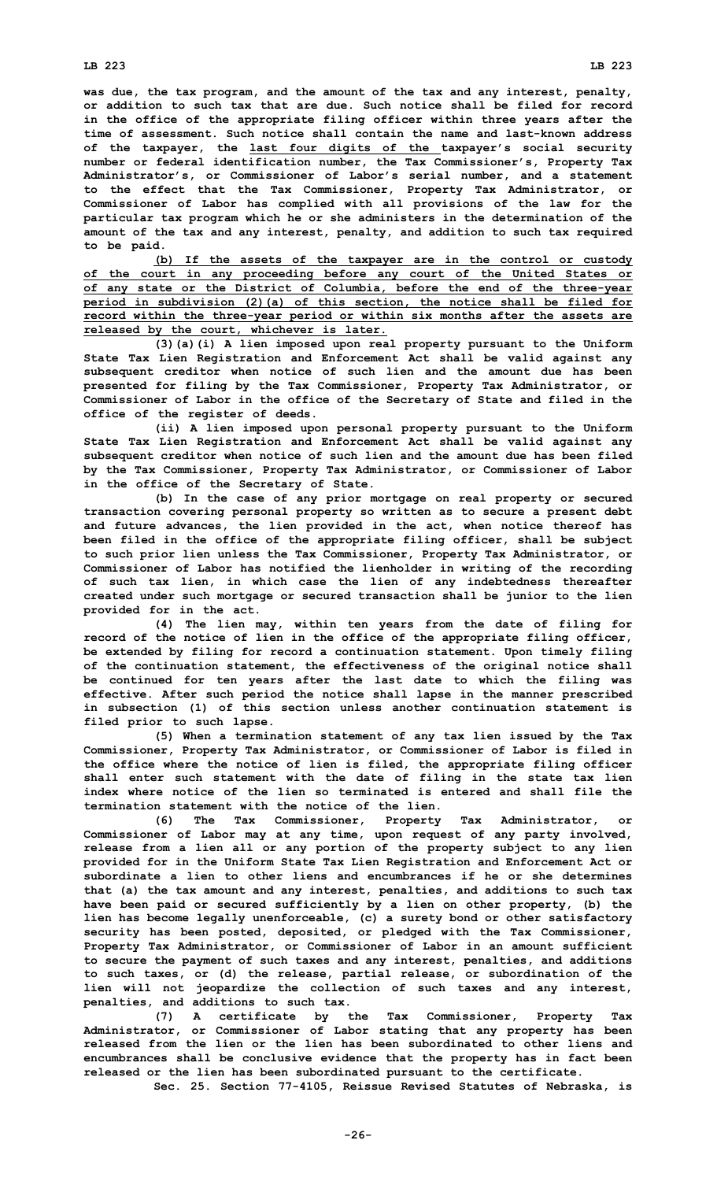### **LB 223 LB 223**

**was due, the tax program, and the amount of the tax and any interest, penalty, or addition to such tax that are due. Such notice shall be filed for record in the office of the appropriate filing officer within three years after the time of assessment. Such notice shall contain the name and last-known address of the taxpayer, the last four digits of the taxpayer's social security number or federal identification number, the Tax Commissioner's, Property Tax Administrator's, or Commissioner of Labor's serial number, and <sup>a</sup> statement to the effect that the Tax Commissioner, Property Tax Administrator, or Commissioner of Labor has complied with all provisions of the law for the particular tax program which he or she administers in the determination of the amount of the tax and any interest, penalty, and addition to such tax required to be paid.**

**(b) If the assets of the taxpayer are in the control or custody of the court in any proceeding before any court of the United States or of any state or the District of Columbia, before the end of the three-year period in subdivision (2)(a) of this section, the notice shall be filed for record within the three-year period or within six months after the assets are released by the court, whichever is later.**

**(3)(a)(i) <sup>A</sup> lien imposed upon real property pursuant to the Uniform State Tax Lien Registration and Enforcement Act shall be valid against any subsequent creditor when notice of such lien and the amount due has been presented for filing by the Tax Commissioner, Property Tax Administrator, or Commissioner of Labor in the office of the Secretary of State and filed in the office of the register of deeds.**

**(ii) <sup>A</sup> lien imposed upon personal property pursuant to the Uniform State Tax Lien Registration and Enforcement Act shall be valid against any subsequent creditor when notice of such lien and the amount due has been filed by the Tax Commissioner, Property Tax Administrator, or Commissioner of Labor in the office of the Secretary of State.**

**(b) In the case of any prior mortgage on real property or secured transaction covering personal property so written as to secure <sup>a</sup> present debt and future advances, the lien provided in the act, when notice thereof has been filed in the office of the appropriate filing officer, shall be subject to such prior lien unless the Tax Commissioner, Property Tax Administrator, or Commissioner of Labor has notified the lienholder in writing of the recording of such tax lien, in which case the lien of any indebtedness thereafter created under such mortgage or secured transaction shall be junior to the lien provided for in the act.**

**(4) The lien may, within ten years from the date of filing for record of the notice of lien in the office of the appropriate filing officer, be extended by filing for record <sup>a</sup> continuation statement. Upon timely filing of the continuation statement, the effectiveness of the original notice shall be continued for ten years after the last date to which the filing was effective. After such period the notice shall lapse in the manner prescribed in subsection (1) of this section unless another continuation statement is filed prior to such lapse.**

**(5) When <sup>a</sup> termination statement of any tax lien issued by the Tax Commissioner, Property Tax Administrator, or Commissioner of Labor is filed in the office where the notice of lien is filed, the appropriate filing officer shall enter such statement with the date of filing in the state tax lien index where notice of the lien so terminated is entered and shall file the termination statement with the notice of the lien.**

**(6) The Tax Commissioner, Property Tax Administrator, or Commissioner of Labor may at any time, upon request of any party involved, release from <sup>a</sup> lien all or any portion of the property subject to any lien provided for in the Uniform State Tax Lien Registration and Enforcement Act or subordinate a lien to other liens and encumbrances if he or she determines that (a) the tax amount and any interest, penalties, and additions to such tax have been paid or secured sufficiently by <sup>a</sup> lien on other property, (b) the lien has become legally unenforceable, (c) <sup>a</sup> surety bond or other satisfactory security has been posted, deposited, or pledged with the Tax Commissioner, Property Tax Administrator, or Commissioner of Labor in an amount sufficient to secure the payment of such taxes and any interest, penalties, and additions to such taxes, or (d) the release, partial release, or subordination of the lien will not jeopardize the collection of such taxes and any interest, penalties, and additions to such tax.**

**(7) <sup>A</sup> certificate by the Tax Commissioner, Property Tax Administrator, or Commissioner of Labor stating that any property has been released from the lien or the lien has been subordinated to other liens and encumbrances shall be conclusive evidence that the property has in fact been released or the lien has been subordinated pursuant to the certificate.**

**Sec. 25. Section 77-4105, Reissue Revised Statutes of Nebraska, is**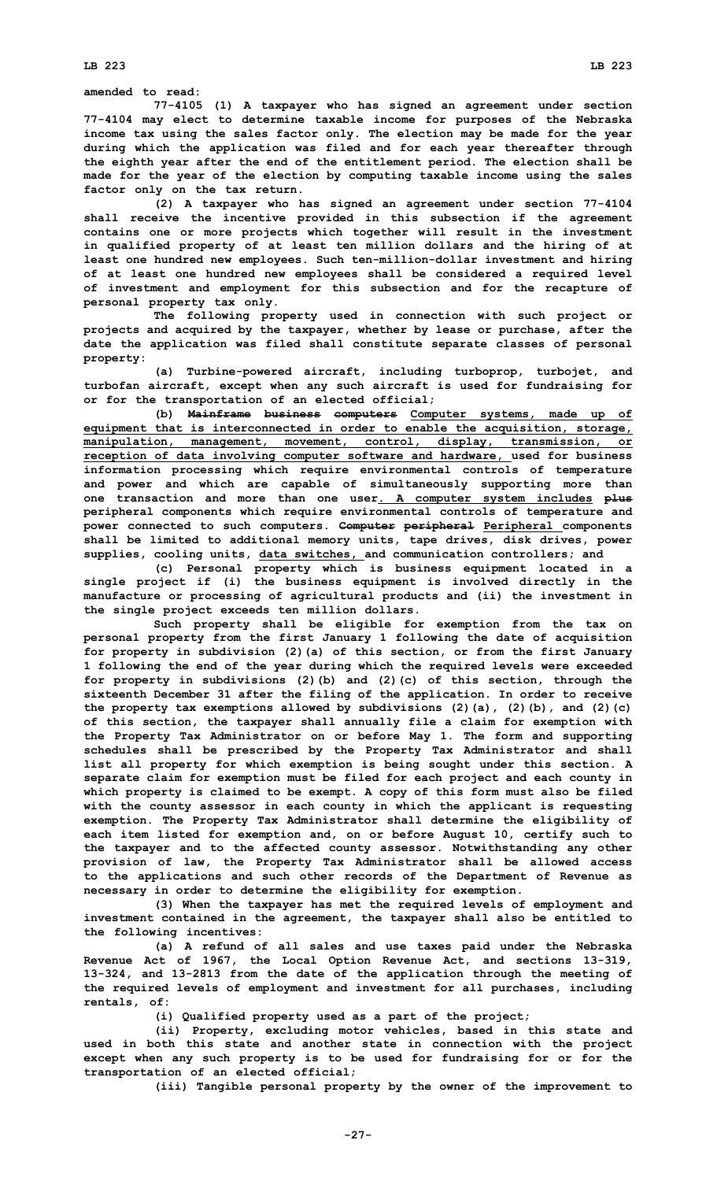**amended to read:**

**77-4105 (1) <sup>A</sup> taxpayer who has signed an agreement under section 77-4104 may elect to determine taxable income for purposes of the Nebraska income tax using the sales factor only. The election may be made for the year during which the application was filed and for each year thereafter through the eighth year after the end of the entitlement period. The election shall be made for the year of the election by computing taxable income using the sales factor only on the tax return.**

**(2) <sup>A</sup> taxpayer who has signed an agreement under section 77-4104 shall receive the incentive provided in this subsection if the agreement contains one or more projects which together will result in the investment in qualified property of at least ten million dollars and the hiring of at least one hundred new employees. Such ten-million-dollar investment and hiring of at least one hundred new employees shall be considered <sup>a</sup> required level of investment and employment for this subsection and for the recapture of personal property tax only.**

**The following property used in connection with such project or projects and acquired by the taxpayer, whether by lease or purchase, after the date the application was filed shall constitute separate classes of personal property:**

**(a) Turbine-powered aircraft, including turboprop, turbojet, and turbofan aircraft, except when any such aircraft is used for fundraising for or for the transportation of an elected official;**

**(b) Mainframe business computers Computer systems, made up of equipment that is interconnected in order to enable the acquisition, storage, manipulation, management, movement, control, display, transmission, or reception of data involving computer software and hardware, used for business information processing which require environmental controls of temperature and power and which are capable of simultaneously supporting more than one transaction and more than one user. A computer system includes plus peripheral components which require environmental controls of temperature and power connected to such computers. Computer peripheral Peripheral components shall be limited to additional memory units, tape drives, disk drives, power supplies, cooling units, data switches, and communication controllers; and**

**(c) Personal property which is business equipment located in <sup>a</sup> single project if (i) the business equipment is involved directly in the manufacture or processing of agricultural products and (ii) the investment in the single project exceeds ten million dollars.**

**Such property shall be eligible for exemption from the tax on personal property from the first January 1 following the date of acquisition for property in subdivision (2)(a) of this section, or from the first January 1 following the end of the year during which the required levels were exceeded for property in subdivisions (2)(b) and (2)(c) of this section, through the sixteenth December 31 after the filing of the application. In order to receive the property tax exemptions allowed by subdivisions (2)(a), (2)(b), and (2)(c) of this section, the taxpayer shall annually file <sup>a</sup> claim for exemption with the Property Tax Administrator on or before May 1. The form and supporting schedules shall be prescribed by the Property Tax Administrator and shall list all property for which exemption is being sought under this section. A separate claim for exemption must be filed for each project and each county in which property is claimed to be exempt. A copy of this form must also be filed with the county assessor in each county in which the applicant is requesting exemption. The Property Tax Administrator shall determine the eligibility of each item listed for exemption and, on or before August 10, certify such to the taxpayer and to the affected county assessor. Notwithstanding any other provision of law, the Property Tax Administrator shall be allowed access to the applications and such other records of the Department of Revenue as necessary in order to determine the eligibility for exemption.**

**(3) When the taxpayer has met the required levels of employment and investment contained in the agreement, the taxpayer shall also be entitled to the following incentives:**

**(a) <sup>A</sup> refund of all sales and use taxes paid under the Nebraska Revenue Act of 1967, the Local Option Revenue Act, and sections 13-319, 13-324, and 13-2813 from the date of the application through the meeting of the required levels of employment and investment for all purchases, including rentals, of:**

**(i) Qualified property used as <sup>a</sup> part of the project;**

**(ii) Property, excluding motor vehicles, based in this state and used in both this state and another state in connection with the project except when any such property is to be used for fundraising for or for the transportation of an elected official;**

**(iii) Tangible personal property by the owner of the improvement to**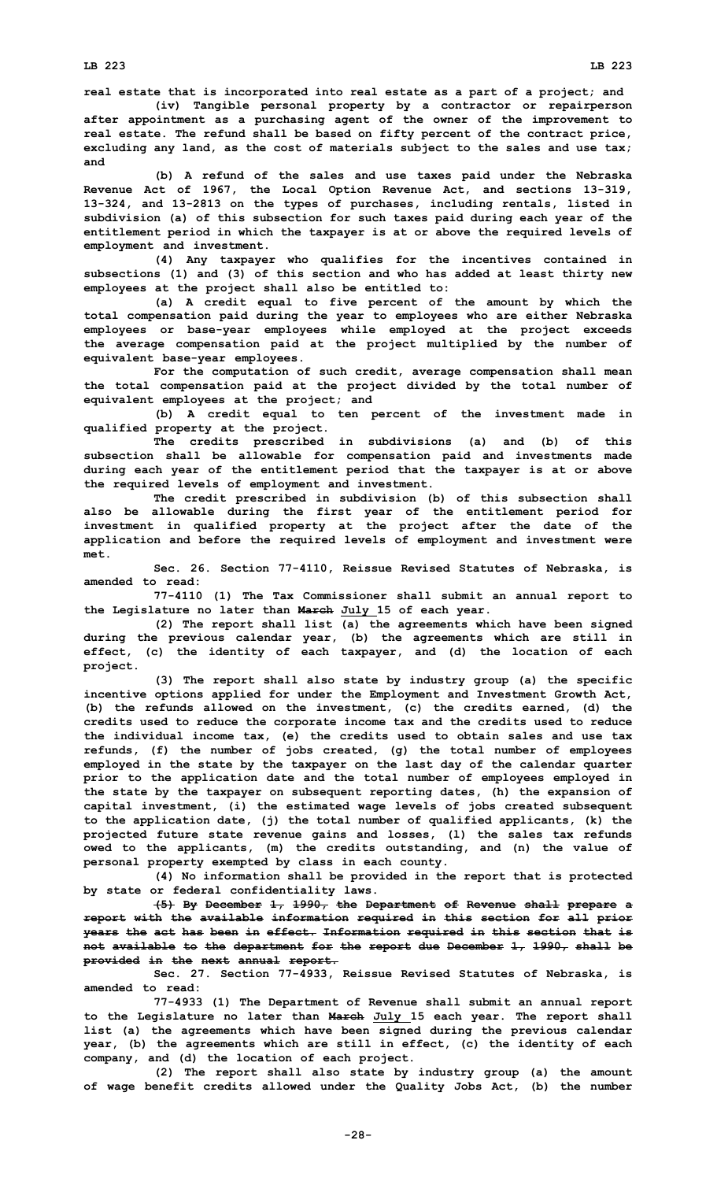**real estate that is incorporated into real estate as <sup>a</sup> part of <sup>a</sup> project; and**

**(iv) Tangible personal property by <sup>a</sup> contractor or repairperson after appointment as <sup>a</sup> purchasing agent of the owner of the improvement to real estate. The refund shall be based on fifty percent of the contract price, excluding any land, as the cost of materials subject to the sales and use tax; and**

**(b) <sup>A</sup> refund of the sales and use taxes paid under the Nebraska Revenue Act of 1967, the Local Option Revenue Act, and sections 13-319, 13-324, and 13-2813 on the types of purchases, including rentals, listed in subdivision (a) of this subsection for such taxes paid during each year of the entitlement period in which the taxpayer is at or above the required levels of employment and investment.**

**(4) Any taxpayer who qualifies for the incentives contained in subsections (1) and (3) of this section and who has added at least thirty new employees at the project shall also be entitled to:**

**(a) <sup>A</sup> credit equal to five percent of the amount by which the total compensation paid during the year to employees who are either Nebraska employees or base-year employees while employed at the project exceeds the average compensation paid at the project multiplied by the number of equivalent base-year employees.**

**For the computation of such credit, average compensation shall mean the total compensation paid at the project divided by the total number of equivalent employees at the project; and**

**(b) <sup>A</sup> credit equal to ten percent of the investment made in qualified property at the project.**

**The credits prescribed in subdivisions (a) and (b) of this subsection shall be allowable for compensation paid and investments made during each year of the entitlement period that the taxpayer is at or above the required levels of employment and investment.**

**The credit prescribed in subdivision (b) of this subsection shall also be allowable during the first year of the entitlement period for investment in qualified property at the project after the date of the application and before the required levels of employment and investment were met.**

**Sec. 26. Section 77-4110, Reissue Revised Statutes of Nebraska, is amended to read:**

**77-4110 (1) The Tax Commissioner shall submit an annual report to the Legislature no later than March July 15 of each year.**

**(2) The report shall list (a) the agreements which have been signed during the previous calendar year, (b) the agreements which are still in effect, (c) the identity of each taxpayer, and (d) the location of each project.**

**(3) The report shall also state by industry group (a) the specific incentive options applied for under the Employment and Investment Growth Act, (b) the refunds allowed on the investment, (c) the credits earned, (d) the credits used to reduce the corporate income tax and the credits used to reduce the individual income tax, (e) the credits used to obtain sales and use tax refunds, (f) the number of jobs created, (g) the total number of employees employed in the state by the taxpayer on the last day of the calendar quarter prior to the application date and the total number of employees employed in the state by the taxpayer on subsequent reporting dates, (h) the expansion of capital investment, (i) the estimated wage levels of jobs created subsequent to the application date, (j) the total number of qualified applicants, (k) the projected future state revenue gains and losses, (l) the sales tax refunds owed to the applicants, (m) the credits outstanding, and (n) the value of personal property exempted by class in each county.**

**(4) No information shall be provided in the report that is protected by state or federal confidentiality laws.**

**(5) By December 1, 1990, the Department of Revenue shall prepare <sup>a</sup> report with the available information required in this section for all prior years the act has been in effect. Information required in this section that is not available to the department for the report due December 1, 1990, shall be provided in the next annual report.**

**Sec. 27. Section 77-4933, Reissue Revised Statutes of Nebraska, is amended to read:**

**77-4933 (1) The Department of Revenue shall submit an annual report to the Legislature no later than March July 15 each year. The report shall list (a) the agreements which have been signed during the previous calendar year, (b) the agreements which are still in effect, (c) the identity of each company, and (d) the location of each project.**

**(2) The report shall also state by industry group (a) the amount of wage benefit credits allowed under the Quality Jobs Act, (b) the number**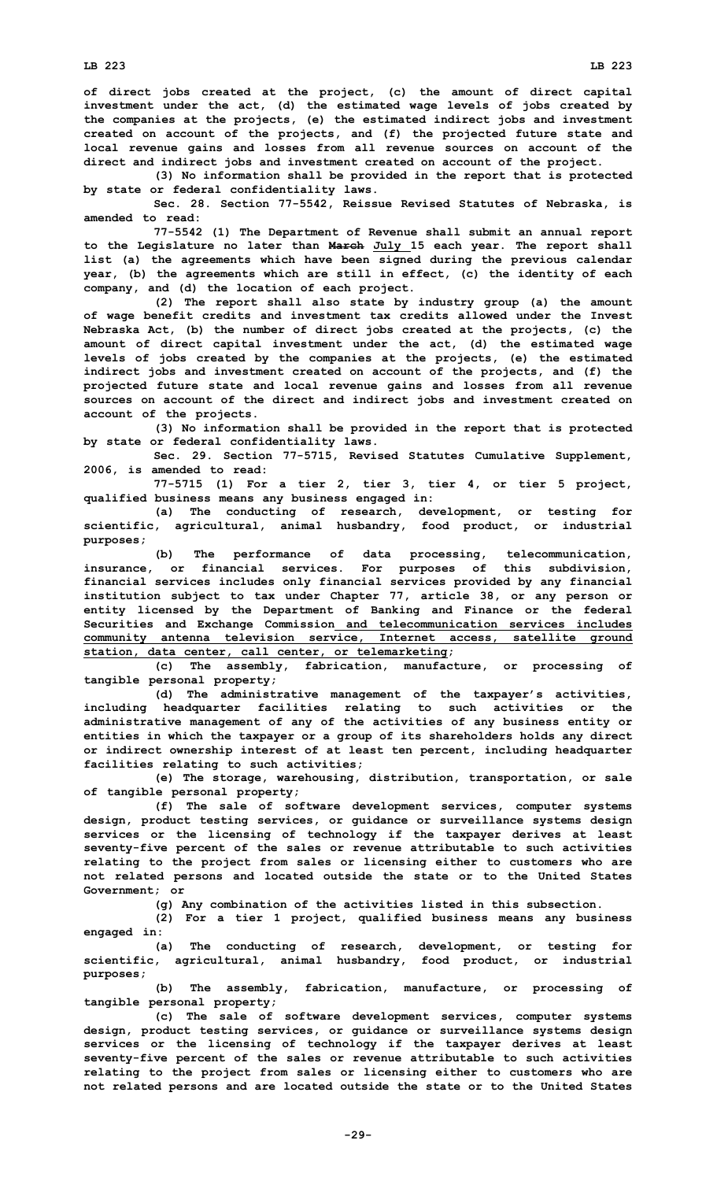**of direct jobs created at the project, (c) the amount of direct capital investment under the act, (d) the estimated wage levels of jobs created by the companies at the projects, (e) the estimated indirect jobs and investment created on account of the projects, and (f) the projected future state and local revenue gains and losses from all revenue sources on account of the direct and indirect jobs and investment created on account of the project.**

**(3) No information shall be provided in the report that is protected by state or federal confidentiality laws.**

**Sec. 28. Section 77-5542, Reissue Revised Statutes of Nebraska, is amended to read:**

**77-5542 (1) The Department of Revenue shall submit an annual report to the Legislature no later than March July 15 each year. The report shall list (a) the agreements which have been signed during the previous calendar year, (b) the agreements which are still in effect, (c) the identity of each company, and (d) the location of each project.**

**(2) The report shall also state by industry group (a) the amount of wage benefit credits and investment tax credits allowed under the Invest Nebraska Act, (b) the number of direct jobs created at the projects, (c) the amount of direct capital investment under the act, (d) the estimated wage levels of jobs created by the companies at the projects, (e) the estimated indirect jobs and investment created on account of the projects, and (f) the projected future state and local revenue gains and losses from all revenue sources on account of the direct and indirect jobs and investment created on account of the projects.**

**(3) No information shall be provided in the report that is protected by state or federal confidentiality laws.**

**Sec. 29. Section 77-5715, Revised Statutes Cumulative Supplement, 2006, is amended to read:**

**77-5715 (1) For <sup>a</sup> tier 2, tier 3, tier 4, or tier 5 project, qualified business means any business engaged in:**

**(a) The conducting of research, development, or testing for scientific, agricultural, animal husbandry, food product, or industrial purposes;**

**(b) The performance of data processing, telecommunication, insurance, or financial services. For purposes of this subdivision, financial services includes only financial services provided by any financial institution subject to tax under Chapter 77, article 38, or any person or entity licensed by the Department of Banking and Finance or the federal Securities and Exchange Commission and telecommunication services includes community antenna television service, Internet access, satellite ground station, data center, call center, or telemarketing;**

**(c) The assembly, fabrication, manufacture, or processing of tangible personal property;**

**(d) The administrative management of the taxpayer's activities, including headquarter facilities relating to such activities or the administrative management of any of the activities of any business entity or entities in which the taxpayer or <sup>a</sup> group of its shareholders holds any direct or indirect ownership interest of at least ten percent, including headquarter facilities relating to such activities;**

**(e) The storage, warehousing, distribution, transportation, or sale of tangible personal property;**

**(f) The sale of software development services, computer systems design, product testing services, or guidance or surveillance systems design services or the licensing of technology if the taxpayer derives at least seventy-five percent of the sales or revenue attributable to such activities relating to the project from sales or licensing either to customers who are not related persons and located outside the state or to the United States Government; or**

**(g) Any combination of the activities listed in this subsection.**

**(2) For <sup>a</sup> tier 1 project, qualified business means any business engaged in:**

**(a) The conducting of research, development, or testing for scientific, agricultural, animal husbandry, food product, or industrial purposes;**

**(b) The assembly, fabrication, manufacture, or processing of tangible personal property;**

**(c) The sale of software development services, computer systems design, product testing services, or guidance or surveillance systems design services or the licensing of technology if the taxpayer derives at least seventy-five percent of the sales or revenue attributable to such activities relating to the project from sales or licensing either to customers who are not related persons and are located outside the state or to the United States**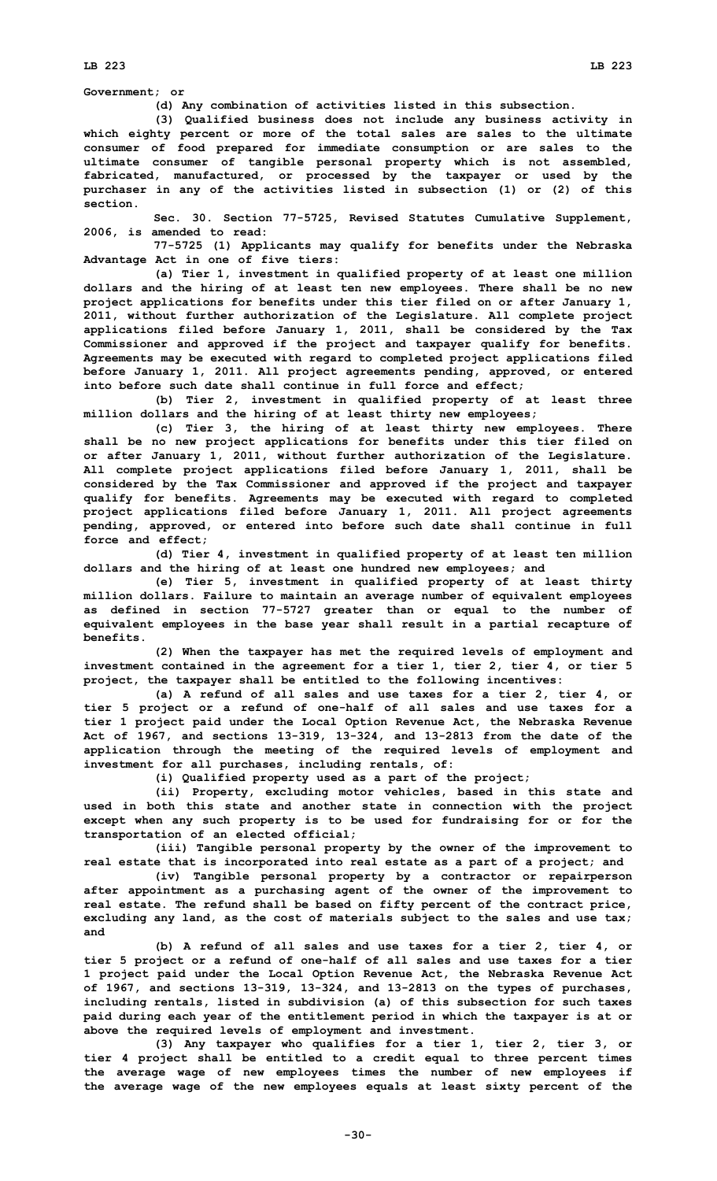**LB 223 LB 223**

**Government; or**

**(d) Any combination of activities listed in this subsection.**

**(3) Qualified business does not include any business activity in which eighty percent or more of the total sales are sales to the ultimate consumer of food prepared for immediate consumption or are sales to the ultimate consumer of tangible personal property which is not assembled, fabricated, manufactured, or processed by the taxpayer or used by the purchaser in any of the activities listed in subsection (1) or (2) of this section.**

**Sec. 30. Section 77-5725, Revised Statutes Cumulative Supplement, 2006, is amended to read:**

**77-5725 (1) Applicants may qualify for benefits under the Nebraska Advantage Act in one of five tiers:**

**(a) Tier 1, investment in qualified property of at least one million dollars and the hiring of at least ten new employees. There shall be no new project applications for benefits under this tier filed on or after January 1, 2011, without further authorization of the Legislature. All complete project applications filed before January 1, 2011, shall be considered by the Tax Commissioner and approved if the project and taxpayer qualify for benefits. Agreements may be executed with regard to completed project applications filed before January 1, 2011. All project agreements pending, approved, or entered into before such date shall continue in full force and effect;**

**(b) Tier 2, investment in qualified property of at least three million dollars and the hiring of at least thirty new employees;**

**(c) Tier 3, the hiring of at least thirty new employees. There shall be no new project applications for benefits under this tier filed on or after January 1, 2011, without further authorization of the Legislature. All complete project applications filed before January 1, 2011, shall be considered by the Tax Commissioner and approved if the project and taxpayer qualify for benefits. Agreements may be executed with regard to completed project applications filed before January 1, 2011. All project agreements pending, approved, or entered into before such date shall continue in full force and effect;**

**(d) Tier 4, investment in qualified property of at least ten million dollars and the hiring of at least one hundred new employees; and**

**(e) Tier 5, investment in qualified property of at least thirty million dollars. Failure to maintain an average number of equivalent employees as defined in section 77-5727 greater than or equal to the number of equivalent employees in the base year shall result in <sup>a</sup> partial recapture of benefits.**

**(2) When the taxpayer has met the required levels of employment and investment contained in the agreement for <sup>a</sup> tier 1, tier 2, tier 4, or tier 5 project, the taxpayer shall be entitled to the following incentives:**

**(a) A refund of all sales and use taxes for <sup>a</sup> tier 2, tier 4, or tier 5 project or <sup>a</sup> refund of one-half of all sales and use taxes for <sup>a</sup> tier 1 project paid under the Local Option Revenue Act, the Nebraska Revenue Act of 1967, and sections 13-319, 13-324, and 13-2813 from the date of the application through the meeting of the required levels of employment and investment for all purchases, including rentals, of:**

**(i) Qualified property used as <sup>a</sup> part of the project;**

**(ii) Property, excluding motor vehicles, based in this state and used in both this state and another state in connection with the project except when any such property is to be used for fundraising for or for the transportation of an elected official;**

**(iii) Tangible personal property by the owner of the improvement to real estate that is incorporated into real estate as <sup>a</sup> part of <sup>a</sup> project; and**

**(iv) Tangible personal property by <sup>a</sup> contractor or repairperson after appointment as <sup>a</sup> purchasing agent of the owner of the improvement to real estate. The refund shall be based on fifty percent of the contract price, excluding any land, as the cost of materials subject to the sales and use tax; and**

**(b) A refund of all sales and use taxes for <sup>a</sup> tier 2, tier 4, or tier 5 project or <sup>a</sup> refund of one-half of all sales and use taxes for <sup>a</sup> tier 1 project paid under the Local Option Revenue Act, the Nebraska Revenue Act of 1967, and sections 13-319, 13-324, and 13-2813 on the types of purchases, including rentals, listed in subdivision (a) of this subsection for such taxes paid during each year of the entitlement period in which the taxpayer is at or above the required levels of employment and investment.**

**(3) Any taxpayer who qualifies for <sup>a</sup> tier 1, tier 2, tier 3, or tier 4 project shall be entitled to <sup>a</sup> credit equal to three percent times the average wage of new employees times the number of new employees if the average wage of the new employees equals at least sixty percent of the**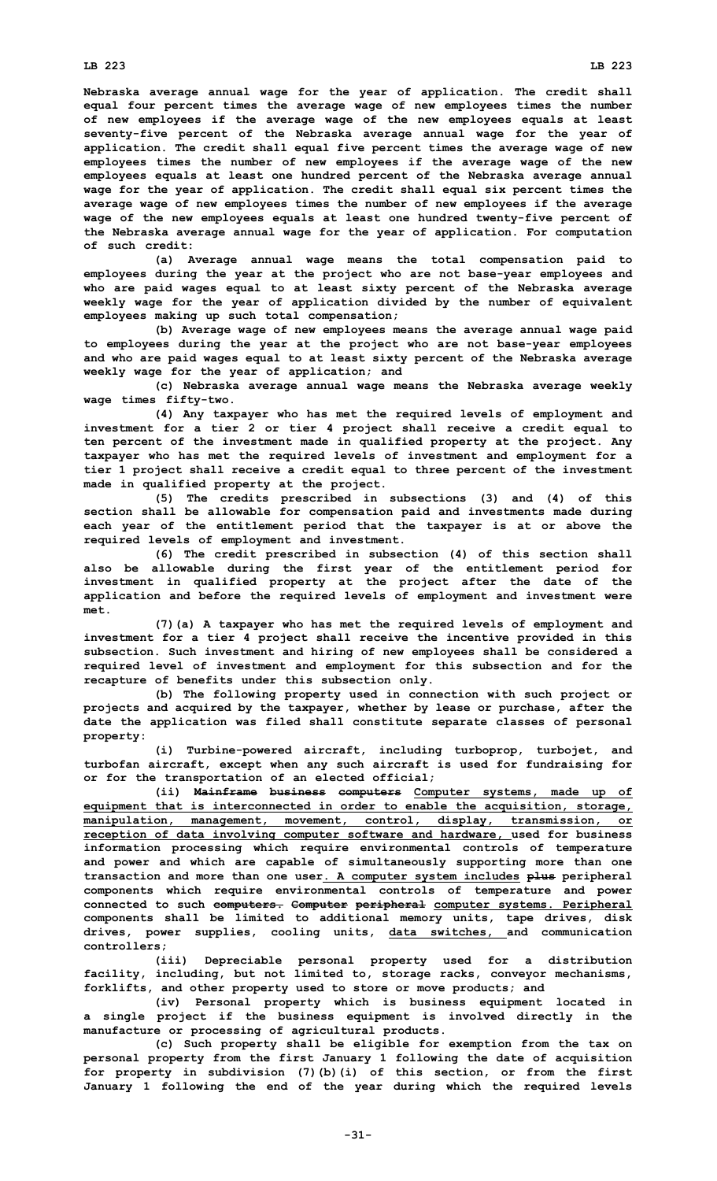### **LB 223 LB 223**

**Nebraska average annual wage for the year of application. The credit shall equal four percent times the average wage of new employees times the number of new employees if the average wage of the new employees equals at least seventy-five percent of the Nebraska average annual wage for the year of application. The credit shall equal five percent times the average wage of new employees times the number of new employees if the average wage of the new employees equals at least one hundred percent of the Nebraska average annual wage for the year of application. The credit shall equal six percent times the average wage of new employees times the number of new employees if the average wage of the new employees equals at least one hundred twenty-five percent of the Nebraska average annual wage for the year of application. For computation of such credit:**

**(a) Average annual wage means the total compensation paid to employees during the year at the project who are not base-year employees and who are paid wages equal to at least sixty percent of the Nebraska average weekly wage for the year of application divided by the number of equivalent employees making up such total compensation;**

**(b) Average wage of new employees means the average annual wage paid to employees during the year at the project who are not base-year employees and who are paid wages equal to at least sixty percent of the Nebraska average weekly wage for the year of application; and**

**(c) Nebraska average annual wage means the Nebraska average weekly wage times fifty-two.**

**(4) Any taxpayer who has met the required levels of employment and investment for <sup>a</sup> tier 2 or tier 4 project shall receive <sup>a</sup> credit equal to ten percent of the investment made in qualified property at the project. Any taxpayer who has met the required levels of investment and employment for <sup>a</sup> tier 1 project shall receive <sup>a</sup> credit equal to three percent of the investment made in qualified property at the project.**

**(5) The credits prescribed in subsections (3) and (4) of this section shall be allowable for compensation paid and investments made during each year of the entitlement period that the taxpayer is at or above the required levels of employment and investment.**

**(6) The credit prescribed in subsection (4) of this section shall also be allowable during the first year of the entitlement period for investment in qualified property at the project after the date of the application and before the required levels of employment and investment were met.**

**(7)(a) <sup>A</sup> taxpayer who has met the required levels of employment and investment for <sup>a</sup> tier 4 project shall receive the incentive provided in this subsection. Such investment and hiring of new employees shall be considered <sup>a</sup> required level of investment and employment for this subsection and for the recapture of benefits under this subsection only.**

**(b) The following property used in connection with such project or projects and acquired by the taxpayer, whether by lease or purchase, after the date the application was filed shall constitute separate classes of personal property:**

**(i) Turbine-powered aircraft, including turboprop, turbojet, and turbofan aircraft, except when any such aircraft is used for fundraising for or for the transportation of an elected official;**

**(ii) Mainframe business computers Computer systems, made up of equipment that is interconnected in order to enable the acquisition, storage, manipulation, management, movement, control, display, transmission, or reception of data involving computer software and hardware, used for business information processing which require environmental controls of temperature and power and which are capable of simultaneously supporting more than one transaction and more than one user. A computer system includes plus peripheral components which require environmental controls of temperature and power connected to such computers. Computer peripheral computer systems. Peripheral components shall be limited to additional memory units, tape drives, disk drives, power supplies, cooling units, data switches, and communication controllers;**

**(iii) Depreciable personal property used for <sup>a</sup> distribution facility, including, but not limited to, storage racks, conveyor mechanisms, forklifts, and other property used to store or move products; and**

**(iv) Personal property which is business equipment located in <sup>a</sup> single project if the business equipment is involved directly in the manufacture or processing of agricultural products.**

**(c) Such property shall be eligible for exemption from the tax on personal property from the first January 1 following the date of acquisition for property in subdivision (7)(b)(i) of this section, or from the first January 1 following the end of the year during which the required levels**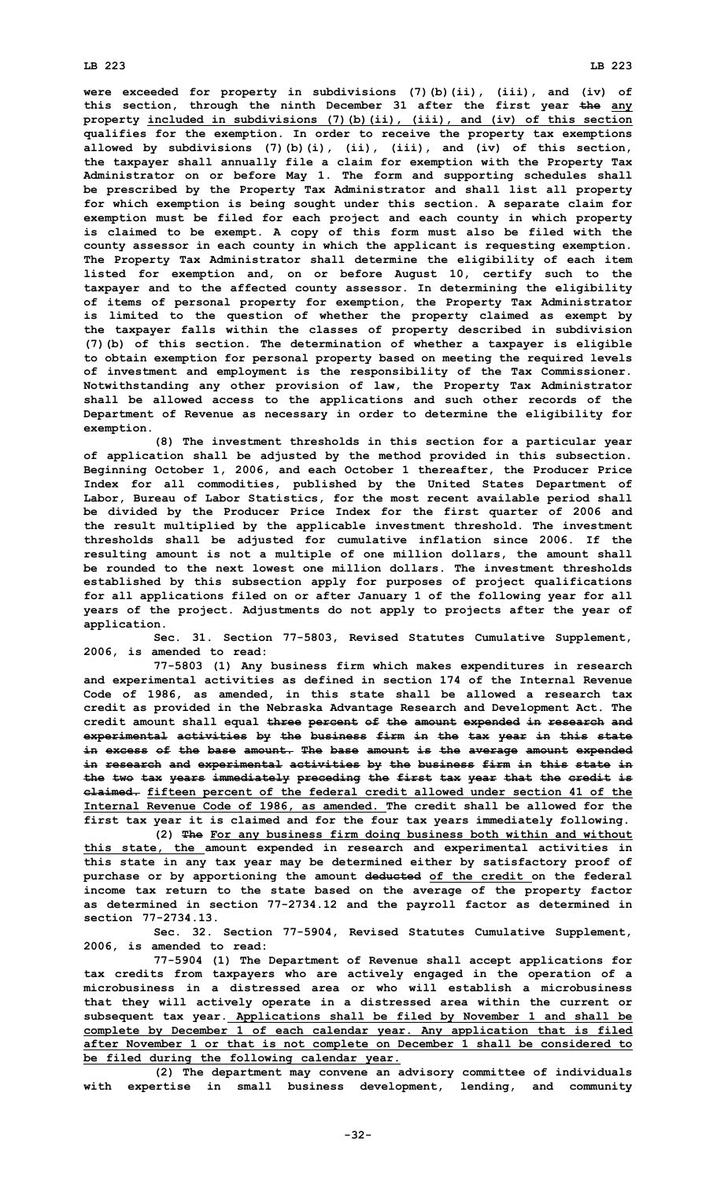**were exceeded for property in subdivisions (7)(b)(ii), (iii), and (iv) of this section, through the ninth December 31 after the first year the any property included in subdivisions (7)(b)(ii), (iii), and (iv) of this section qualifies for the exemption. In order to receive the property tax exemptions allowed by subdivisions (7)(b)(i), (ii), (iii), and (iv) of this section, the taxpayer shall annually file <sup>a</sup> claim for exemption with the Property Tax Administrator on or before May 1. The form and supporting schedules shall be prescribed by the Property Tax Administrator and shall list all property for which exemption is being sought under this section. A separate claim for exemption must be filed for each project and each county in which property is claimed to be exempt. A copy of this form must also be filed with the county assessor in each county in which the applicant is requesting exemption. The Property Tax Administrator shall determine the eligibility of each item listed for exemption and, on or before August 10, certify such to the taxpayer and to the affected county assessor. In determining the eligibility of items of personal property for exemption, the Property Tax Administrator is limited to the question of whether the property claimed as exempt by the taxpayer falls within the classes of property described in subdivision (7)(b) of this section. The determination of whether <sup>a</sup> taxpayer is eligible to obtain exemption for personal property based on meeting the required levels of investment and employment is the responsibility of the Tax Commissioner. Notwithstanding any other provision of law, the Property Tax Administrator shall be allowed access to the applications and such other records of the Department of Revenue as necessary in order to determine the eligibility for exemption.**

**(8) The investment thresholds in this section for <sup>a</sup> particular year of application shall be adjusted by the method provided in this subsection. Beginning October 1, 2006, and each October 1 thereafter, the Producer Price Index for all commodities, published by the United States Department of Labor, Bureau of Labor Statistics, for the most recent available period shall be divided by the Producer Price Index for the first quarter of 2006 and the result multiplied by the applicable investment threshold. The investment thresholds shall be adjusted for cumulative inflation since 2006. If the resulting amount is not <sup>a</sup> multiple of one million dollars, the amount shall be rounded to the next lowest one million dollars. The investment thresholds established by this subsection apply for purposes of project qualifications for all applications filed on or after January 1 of the following year for all years of the project. Adjustments do not apply to projects after the year of application.**

**Sec. 31. Section 77-5803, Revised Statutes Cumulative Supplement, 2006, is amended to read:**

**77-5803 (1) Any business firm which makes expenditures in research and experimental activities as defined in section 174 of the Internal Revenue Code of 1986, as amended, in this state shall be allowed <sup>a</sup> research tax credit as provided in the Nebraska Advantage Research and Development Act. The credit amount shall equal three percent of the amount expended in research and experimental activities by the business firm in the tax year in this state in excess of the base amount. The base amount is the average amount expended in research and experimental activities by the business firm in this state in the two tax years immediately preceding the first tax year that the credit is claimed. fifteen percent of the federal credit allowed under section 41 of the Internal Revenue Code of 1986, as amended. The credit shall be allowed for the first tax year it is claimed and for the four tax years immediately following.**

**(2) The For any business firm doing business both within and without this state, the amount expended in research and experimental activities in this state in any tax year may be determined either by satisfactory proof of purchase or by apportioning the amount deducted of the credit on the federal income tax return to the state based on the average of the property factor as determined in section 77-2734.12 and the payroll factor as determined in section 77-2734.13.**

**Sec. 32. Section 77-5904, Revised Statutes Cumulative Supplement, 2006, is amended to read:**

**77-5904 (1) The Department of Revenue shall accept applications for tax credits from taxpayers who are actively engaged in the operation of <sup>a</sup> microbusiness in a distressed area or who will establish a microbusiness that they will actively operate in <sup>a</sup> distressed area within the current or subsequent tax year. Applications shall be filed by November 1 and shall be complete by December 1 of each calendar year. Any application that is filed after November 1 or that is not complete on December 1 shall be considered to be filed during the following calendar year.**

**(2) The department may convene an advisory committee of individuals with expertise in small business development, lending, and community**